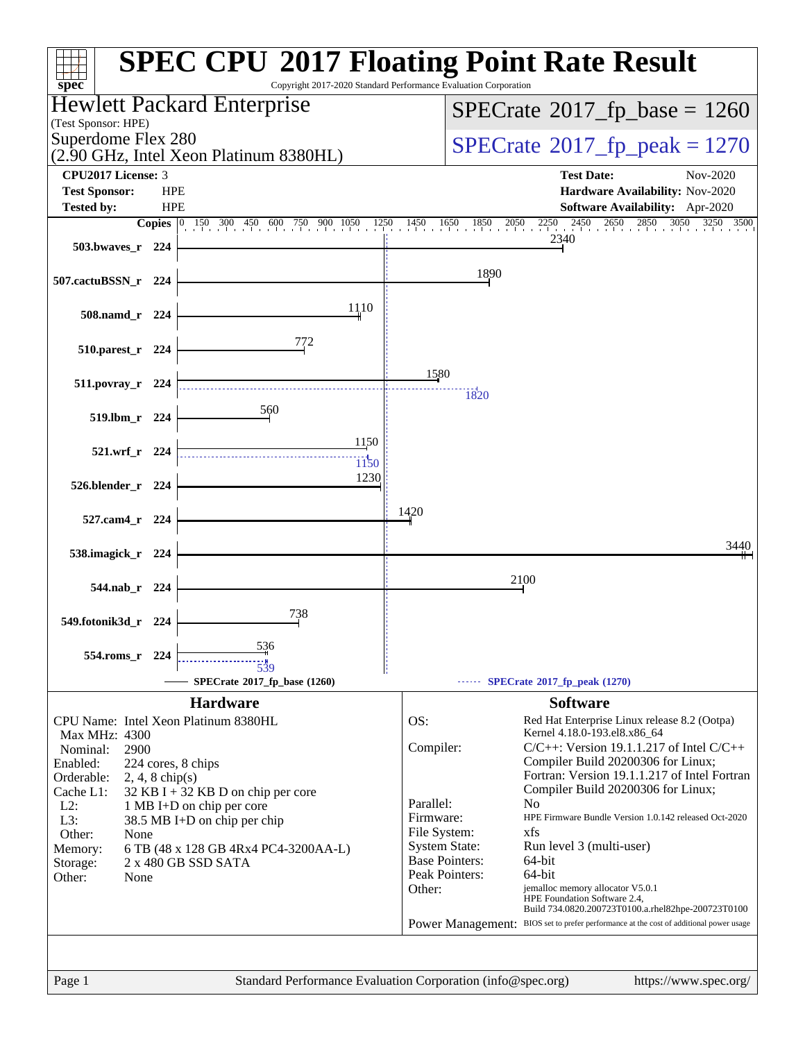| $spec^*$                                                                             | <b>SPEC CPU®2017 Floating Point Rate Result</b><br>Copyright 2017-2020 Standard Performance Evaluation Corporation                                     |
|--------------------------------------------------------------------------------------|--------------------------------------------------------------------------------------------------------------------------------------------------------|
| Hewlett Packard Enterprise                                                           | $SPECrate^{\circ}2017$ _fp_base = 1260                                                                                                                 |
| (Test Sponsor: HPE)<br>Superdome Flex 280                                            | $SPECTate^{\circ}2017$ _fp_peak = 1270                                                                                                                 |
| (2.90 GHz, Intel Xeon Platinum 8380HL)<br>CPU2017 License: 3                         | <b>Test Date:</b><br>Nov-2020                                                                                                                          |
| <b>Test Sponsor:</b><br><b>HPE</b>                                                   | Hardware Availability: Nov-2020                                                                                                                        |
| <b>HPE</b><br><b>Tested by:</b>                                                      | Software Availability: Apr-2020<br>3050<br>3250 3500<br>1850<br>2050                                                                                   |
| <b>Copies</b><br>150 300 450 600 750 900 1050 1250 1450 1650                         | 2250 2450 2650 2850 305<br>2340                                                                                                                        |
| 503.bwayes_r 224                                                                     |                                                                                                                                                        |
| 507.cactuBSSN_r 224                                                                  | 1890                                                                                                                                                   |
| 1110<br>508.namd_r 224                                                               |                                                                                                                                                        |
| 772<br>510.parest_r 224                                                              |                                                                                                                                                        |
|                                                                                      | 1580                                                                                                                                                   |
| $511. povray_r$ 224                                                                  | 1820                                                                                                                                                   |
| 560<br>519.lbm_r 224                                                                 |                                                                                                                                                        |
|                                                                                      |                                                                                                                                                        |
| 1150<br>521.wrf_r 224                                                                |                                                                                                                                                        |
| 1150<br>1230                                                                         |                                                                                                                                                        |
| 526.blender_r 224                                                                    |                                                                                                                                                        |
| 527.cam4_r 224                                                                       | 1420                                                                                                                                                   |
|                                                                                      | 3440                                                                                                                                                   |
| 538.imagick_r 224                                                                    |                                                                                                                                                        |
| 544.nab r 224                                                                        | 2100                                                                                                                                                   |
| 738                                                                                  |                                                                                                                                                        |
| 549.fotonik3d_r 224                                                                  |                                                                                                                                                        |
| 536<br>554.roms r 224<br>539                                                         |                                                                                                                                                        |
| SPECrate®2017_fp_base (1260)                                                         | SPECrate <sup>®</sup> 2017_fp_peak (1270)                                                                                                              |
| <b>Hardware</b>                                                                      | <b>Software</b>                                                                                                                                        |
| CPU Name: Intel Xeon Platinum 8380HL<br>Max MHz: 4300                                | OS:<br>Red Hat Enterprise Linux release 8.2 (Ootpa)<br>Kernel 4.18.0-193.el8.x86_64                                                                    |
| Nominal:<br>2900                                                                     | $C/C++$ : Version 19.1.1.217 of Intel $C/C++$<br>Compiler:                                                                                             |
| Enabled:<br>224 cores, 8 chips                                                       | Compiler Build 20200306 for Linux;<br>Fortran: Version 19.1.1.217 of Intel Fortran                                                                     |
| Orderable:<br>$2, 4, 8$ chip(s)<br>Cache L1:<br>$32$ KB I + 32 KB D on chip per core | Compiler Build 20200306 for Linux;                                                                                                                     |
| $L2$ :<br>1 MB I+D on chip per core                                                  | Parallel:<br>N <sub>0</sub>                                                                                                                            |
| $L3$ :<br>38.5 MB I+D on chip per chip                                               | HPE Firmware Bundle Version 1.0.142 released Oct-2020<br>Firmware:<br>File System:<br>xfs                                                              |
| Other:<br>None<br>6 TB (48 x 128 GB 4Rx4 PC4-3200AA-L)<br>Memory:                    | <b>System State:</b><br>Run level 3 (multi-user)                                                                                                       |
| 2 x 480 GB SSD SATA<br>Storage:                                                      | <b>Base Pointers:</b><br>64-bit                                                                                                                        |
| Other:<br>None                                                                       | Peak Pointers:<br>64-bit                                                                                                                               |
|                                                                                      | Other:<br>jemalloc memory allocator V5.0.1<br>HPE Foundation Software 2.4,                                                                             |
|                                                                                      | Build 734.0820.200723T0100.a.rhel82hpe-200723T0100<br>BIOS set to prefer performance at the cost of additional power usage<br><b>Power Management:</b> |
|                                                                                      |                                                                                                                                                        |
|                                                                                      |                                                                                                                                                        |
| Page 1                                                                               | Standard Performance Evaluation Corporation (info@spec.org)<br>https://www.spec.org/                                                                   |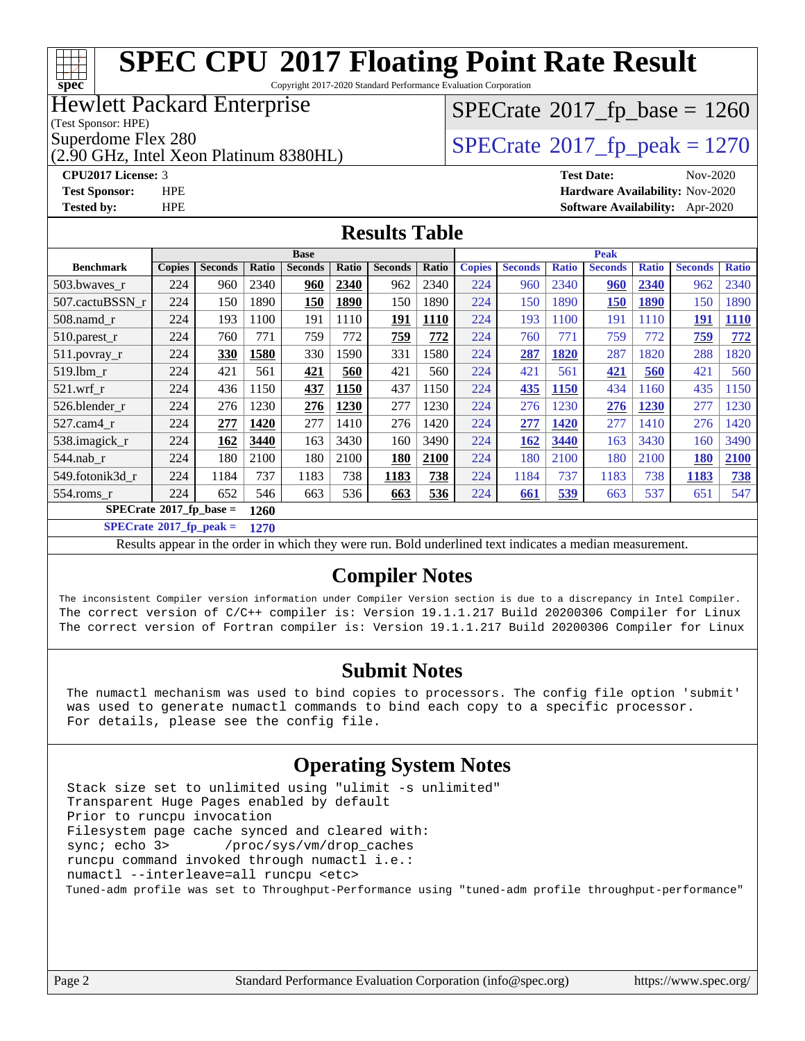### **[SPEC CPU](http://www.spec.org/auto/cpu2017/Docs/result-fields.html#SPECCPU2017FloatingPointRateResult)[2017 Floating Point Rate Result](http://www.spec.org/auto/cpu2017/Docs/result-fields.html#SPECCPU2017FloatingPointRateResult)** Copyright 2017-2020 Standard Performance Evaluation Corporation

### Hewlett Packard Enterprise

(Test Sponsor: HPE)

**[spec](http://www.spec.org/)**

(2.90 GHz, Intel Xeon Platinum 8380HL)

## $SPECTate$ <sup>®</sup>[2017\\_fp\\_base =](http://www.spec.org/auto/cpu2017/Docs/result-fields.html#SPECrate2017fpbase) 1260

Superdome Flex 280<br>(2.90 GHz, Intel Xeon Platinum 8380HI)  $SPECrate@2017_fp\_peak = 1270$  $SPECrate@2017_fp\_peak = 1270$ 

**[CPU2017 License:](http://www.spec.org/auto/cpu2017/Docs/result-fields.html#CPU2017License)** 3 **[Test Date:](http://www.spec.org/auto/cpu2017/Docs/result-fields.html#TestDate)** Nov-2020 **[Test Sponsor:](http://www.spec.org/auto/cpu2017/Docs/result-fields.html#TestSponsor)** HPE **[Hardware Availability:](http://www.spec.org/auto/cpu2017/Docs/result-fields.html#HardwareAvailability)** Nov-2020 **[Tested by:](http://www.spec.org/auto/cpu2017/Docs/result-fields.html#Testedby)** HPE **[Software Availability:](http://www.spec.org/auto/cpu2017/Docs/result-fields.html#SoftwareAvailability)** Apr-2020

#### **[Results Table](http://www.spec.org/auto/cpu2017/Docs/result-fields.html#ResultsTable)**

|                                  | <b>Base</b>   |                |       |                |       |                | <b>Peak</b> |               |                |              |                |              |                |              |
|----------------------------------|---------------|----------------|-------|----------------|-------|----------------|-------------|---------------|----------------|--------------|----------------|--------------|----------------|--------------|
| <b>Benchmark</b>                 | <b>Copies</b> | <b>Seconds</b> | Ratio | <b>Seconds</b> | Ratio | <b>Seconds</b> | Ratio       | <b>Copies</b> | <b>Seconds</b> | <b>Ratio</b> | <b>Seconds</b> | <b>Ratio</b> | <b>Seconds</b> | <b>Ratio</b> |
| 503.bwaves_r                     | 224           | 960            | 2340  | 960            | 2340  | 962            | 2340        | 224           | 960            | 2340         | <u>960</u>     | 2340         | 962            | 2340         |
| 507.cactuBSSN r                  | 224           | 150            | 1890  | <b>150</b>     | 1890  | 150            | 1890        | 224           | 150            | 1890         | <b>150</b>     | 1890         | 150            | 1890         |
| $508$ .namd $r$                  | 224           | 193            | 1100  | 191            | 1110  | 191            | 1110        | 224           | 193            | 1100         | 191            | 1110         | <b>191</b>     | <b>1110</b>  |
| $510.parest_r$                   | 224           | 760            | 771   | 759            | 772   | 759            | 772         | 224           | 760            | 771          | 759            | 772          | 759            | 772          |
| $511.$ povray_r                  | 224           | 330            | 1580  | 330            | 1590  | 331            | 1580        | 224           | 287            | 1820         | 287            | 1820         | 288            | 1820         |
| $519.1$ bm r                     | 224           | 421            | 561   | 421            | 560   | 421            | 560         | 224           | 421            | 561          | 421            | 560          | 421            | 560          |
| $521$ .wrf r                     | 224           | 436            | 1150  | 437            | 1150  | 437            | 1150        | 224           | 435            | <b>1150</b>  | 434            | 1160         | 435            | 1150         |
| 526.blender r                    | 224           | 276            | 1230  | 276            | 1230  | 277            | 1230        | 224           | 276            | 230          | 276            | 1230         | 277            | 1230         |
| 527.cam4_r                       | 224           | 277            | 1420  | 277            | 1410  | 276            | 1420        | 224           | 277            | 1420         | 277            | 1410         | 276            | 1420         |
| 538.imagick_r                    | 224           | 162            | 3440  | 163            | 3430  | 160            | 3490        | 224           | 162            | 3440         | 163            | 3430         | 160            | 3490         |
| 544.nab r                        | 224           | 180            | 2100  | 180            | 2100  | 180            | 2100        | 224           | 180            | 2100         | 180            | 2100         | <b>180</b>     | 2100         |
| 549.fotonik3d r                  | 224           | 1184           | 737   | 1183           | 738   | 1183           | 738         | 224           | 1184           | 737          | 1183           | 738          | 1183           | 738          |
| 554.roms r                       | 224           | 652            | 546   | 663            | 536   | 663            | 536         | 224           | 661            | 539          | 663            | 537          | 651            | 547          |
| $SPECrate^{\circ}2017$ fp base = |               |                | 1260  |                |       |                |             |               |                |              |                |              |                |              |

#### **[SPECrate](http://www.spec.org/auto/cpu2017/Docs/result-fields.html#SPECrate2017fppeak)[2017\\_fp\\_peak =](http://www.spec.org/auto/cpu2017/Docs/result-fields.html#SPECrate2017fppeak) 1270**

Results appear in the [order in which they were run](http://www.spec.org/auto/cpu2017/Docs/result-fields.html#RunOrder). Bold underlined text [indicates a median measurement](http://www.spec.org/auto/cpu2017/Docs/result-fields.html#Median).

### **[Compiler Notes](http://www.spec.org/auto/cpu2017/Docs/result-fields.html#CompilerNotes)**

The inconsistent Compiler version information under Compiler Version section is due to a discrepancy in Intel Compiler. The correct version of C/C++ compiler is: Version 19.1.1.217 Build 20200306 Compiler for Linux The correct version of Fortran compiler is: Version 19.1.1.217 Build 20200306 Compiler for Linux

### **[Submit Notes](http://www.spec.org/auto/cpu2017/Docs/result-fields.html#SubmitNotes)**

 The numactl mechanism was used to bind copies to processors. The config file option 'submit' was used to generate numactl commands to bind each copy to a specific processor. For details, please see the config file.

### **[Operating System Notes](http://www.spec.org/auto/cpu2017/Docs/result-fields.html#OperatingSystemNotes)**

 Stack size set to unlimited using "ulimit -s unlimited" Transparent Huge Pages enabled by default Prior to runcpu invocation Filesystem page cache synced and cleared with: sync; echo 3> /proc/sys/vm/drop\_caches runcpu command invoked through numactl i.e.: numactl --interleave=all runcpu <etc> Tuned-adm profile was set to Throughput-Performance using "tuned-adm profile throughput-performance"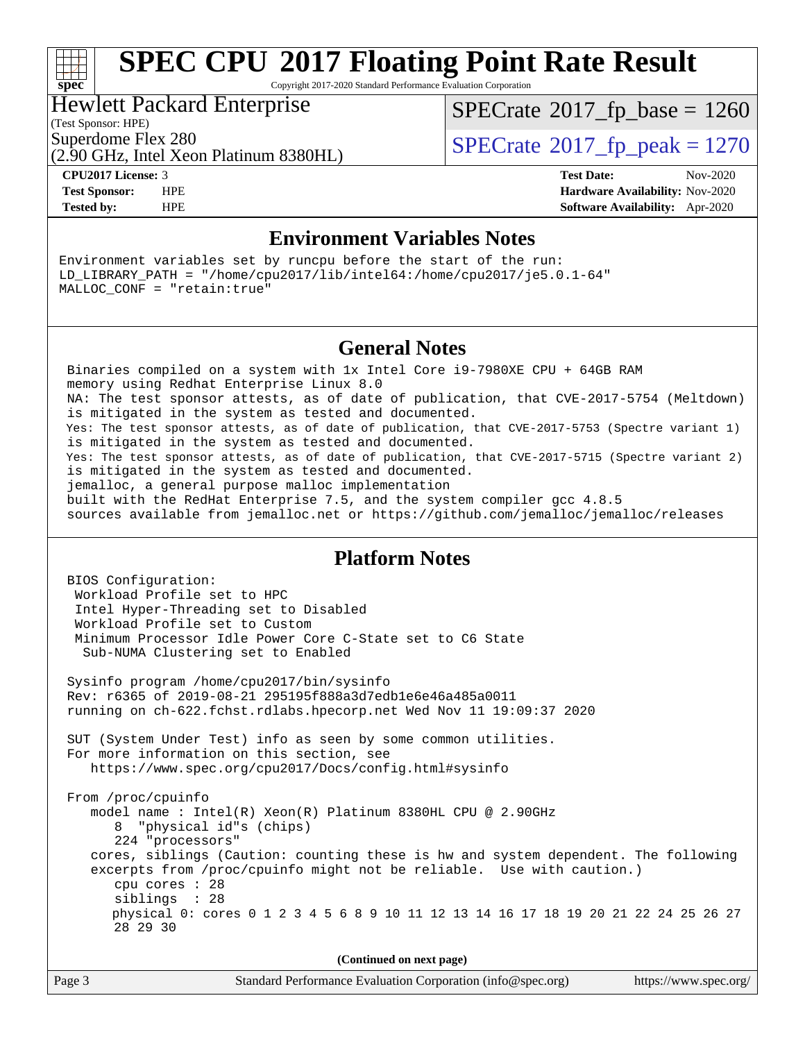# **[spec](http://www.spec.org/)**

## **[SPEC CPU](http://www.spec.org/auto/cpu2017/Docs/result-fields.html#SPECCPU2017FloatingPointRateResult)[2017 Floating Point Rate Result](http://www.spec.org/auto/cpu2017/Docs/result-fields.html#SPECCPU2017FloatingPointRateResult)**

Copyright 2017-2020 Standard Performance Evaluation Corporation

#### Hewlett Packard Enterprise

 $SPECTate$ <sup>®</sup>[2017\\_fp\\_base =](http://www.spec.org/auto/cpu2017/Docs/result-fields.html#SPECrate2017fpbase) 1260

(Test Sponsor: HPE)

(2.90 GHz, Intel Xeon Platinum 8380HL)

Superdome Flex 280<br>  $S$ PECrate<sup>®</sup>2017 fp\_peak = 1270

**[CPU2017 License:](http://www.spec.org/auto/cpu2017/Docs/result-fields.html#CPU2017License)** 3 **[Test Date:](http://www.spec.org/auto/cpu2017/Docs/result-fields.html#TestDate)** Nov-2020 **[Test Sponsor:](http://www.spec.org/auto/cpu2017/Docs/result-fields.html#TestSponsor)** HPE **[Hardware Availability:](http://www.spec.org/auto/cpu2017/Docs/result-fields.html#HardwareAvailability)** Nov-2020 **[Tested by:](http://www.spec.org/auto/cpu2017/Docs/result-fields.html#Testedby)** HPE **[Software Availability:](http://www.spec.org/auto/cpu2017/Docs/result-fields.html#SoftwareAvailability)** Apr-2020

### **[Environment Variables Notes](http://www.spec.org/auto/cpu2017/Docs/result-fields.html#EnvironmentVariablesNotes)**

Environment variables set by runcpu before the start of the run: LD\_LIBRARY\_PATH = "/home/cpu2017/lib/intel64:/home/cpu2017/je5.0.1-64" MALLOC\_CONF = "retain:true"

### **[General Notes](http://www.spec.org/auto/cpu2017/Docs/result-fields.html#GeneralNotes)**

 Binaries compiled on a system with 1x Intel Core i9-7980XE CPU + 64GB RAM memory using Redhat Enterprise Linux 8.0 NA: The test sponsor attests, as of date of publication, that CVE-2017-5754 (Meltdown) is mitigated in the system as tested and documented. Yes: The test sponsor attests, as of date of publication, that CVE-2017-5753 (Spectre variant 1) is mitigated in the system as tested and documented. Yes: The test sponsor attests, as of date of publication, that CVE-2017-5715 (Spectre variant 2) is mitigated in the system as tested and documented. jemalloc, a general purpose malloc implementation built with the RedHat Enterprise 7.5, and the system compiler gcc 4.8.5 sources available from jemalloc.net or<https://github.com/jemalloc/jemalloc/releases>

### **[Platform Notes](http://www.spec.org/auto/cpu2017/Docs/result-fields.html#PlatformNotes)**

 BIOS Configuration: Workload Profile set to HPC Intel Hyper-Threading set to Disabled Workload Profile set to Custom Minimum Processor Idle Power Core C-State set to C6 State Sub-NUMA Clustering set to Enabled Sysinfo program /home/cpu2017/bin/sysinfo Rev: r6365 of 2019-08-21 295195f888a3d7edb1e6e46a485a0011 running on ch-622.fchst.rdlabs.hpecorp.net Wed Nov 11 19:09:37 2020 SUT (System Under Test) info as seen by some common utilities. For more information on this section, see <https://www.spec.org/cpu2017/Docs/config.html#sysinfo> From /proc/cpuinfo model name : Intel(R) Xeon(R) Platinum 8380HL CPU @ 2.90GHz 8 "physical id"s (chips) 224 "processors" cores, siblings (Caution: counting these is hw and system dependent. The following excerpts from /proc/cpuinfo might not be reliable. Use with caution.) cpu cores : 28 siblings : 28 physical 0: cores 0 1 2 3 4 5 6 8 9 10 11 12 13 14 16 17 18 19 20 21 22 24 25 26 27 28 29 30

| Page 3 | Standard Performance Evaluation Corporation (info@spec.org) | https://www.spec.org/ |
|--------|-------------------------------------------------------------|-----------------------|
|--------|-------------------------------------------------------------|-----------------------|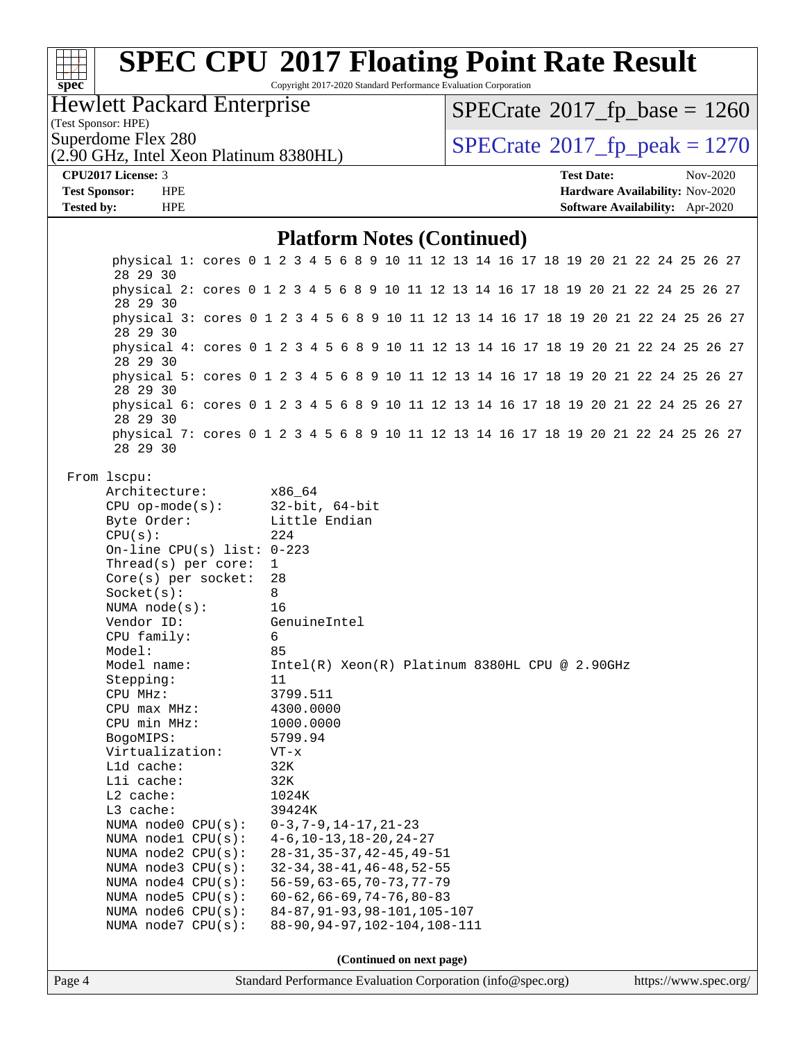| <b>SPEC CPU®2017 Floating Point Rate Result</b><br>$spec^*$                                                                                                                                                                                                                                                                                                                                                                                                                                                                                                                                                   |                                                                                                                                                                                                                                                    | Copyright 2017-2020 Standard Performance Evaluation Corporation                                                                                                                                                                                                                                                          |                                              |                   |                                 |          |
|---------------------------------------------------------------------------------------------------------------------------------------------------------------------------------------------------------------------------------------------------------------------------------------------------------------------------------------------------------------------------------------------------------------------------------------------------------------------------------------------------------------------------------------------------------------------------------------------------------------|----------------------------------------------------------------------------------------------------------------------------------------------------------------------------------------------------------------------------------------------------|--------------------------------------------------------------------------------------------------------------------------------------------------------------------------------------------------------------------------------------------------------------------------------------------------------------------------|----------------------------------------------|-------------------|---------------------------------|----------|
| <b>Hewlett Packard Enterprise</b>                                                                                                                                                                                                                                                                                                                                                                                                                                                                                                                                                                             |                                                                                                                                                                                                                                                    |                                                                                                                                                                                                                                                                                                                          | $SPECrate^{\circledast}2017_fp\_base = 1260$ |                   |                                 |          |
| (Test Sponsor: HPE)                                                                                                                                                                                                                                                                                                                                                                                                                                                                                                                                                                                           |                                                                                                                                                                                                                                                    |                                                                                                                                                                                                                                                                                                                          |                                              |                   |                                 |          |
| Superdome Flex 280                                                                                                                                                                                                                                                                                                                                                                                                                                                                                                                                                                                            |                                                                                                                                                                                                                                                    |                                                                                                                                                                                                                                                                                                                          | $SPECrate^{\circ}2017$ _fp_peak = 1270       |                   |                                 |          |
| (2.90 GHz, Intel Xeon Platinum 8380HL)                                                                                                                                                                                                                                                                                                                                                                                                                                                                                                                                                                        |                                                                                                                                                                                                                                                    |                                                                                                                                                                                                                                                                                                                          |                                              |                   |                                 |          |
| CPU2017 License: 3                                                                                                                                                                                                                                                                                                                                                                                                                                                                                                                                                                                            |                                                                                                                                                                                                                                                    |                                                                                                                                                                                                                                                                                                                          |                                              | <b>Test Date:</b> |                                 | Nov-2020 |
| <b>Test Sponsor:</b><br><b>HPE</b>                                                                                                                                                                                                                                                                                                                                                                                                                                                                                                                                                                            |                                                                                                                                                                                                                                                    |                                                                                                                                                                                                                                                                                                                          |                                              |                   | Hardware Availability: Nov-2020 |          |
| <b>Tested by:</b><br><b>HPE</b>                                                                                                                                                                                                                                                                                                                                                                                                                                                                                                                                                                               |                                                                                                                                                                                                                                                    |                                                                                                                                                                                                                                                                                                                          |                                              |                   | Software Availability: Apr-2020 |          |
|                                                                                                                                                                                                                                                                                                                                                                                                                                                                                                                                                                                                               |                                                                                                                                                                                                                                                    | <b>Platform Notes (Continued)</b>                                                                                                                                                                                                                                                                                        |                                              |                   |                                 |          |
| physical 1: cores 0 1 2 3 4 5 6 8 9 10 11 12 13 14 16 17 18 19 20 21 22 24 25 26 27<br>28 29 30                                                                                                                                                                                                                                                                                                                                                                                                                                                                                                               |                                                                                                                                                                                                                                                    |                                                                                                                                                                                                                                                                                                                          |                                              |                   |                                 |          |
| physical 2: cores 0 1 2 3 4 5 6 8 9 10 11 12 13 14 16 17 18 19 20 21 22 24 25 26 27<br>28 29 30                                                                                                                                                                                                                                                                                                                                                                                                                                                                                                               |                                                                                                                                                                                                                                                    |                                                                                                                                                                                                                                                                                                                          |                                              |                   |                                 |          |
| physical 3: cores 0 1 2 3 4 5 6 8 9 10 11 12 13 14 16 17 18 19 20 21 22 24 25 26 27                                                                                                                                                                                                                                                                                                                                                                                                                                                                                                                           |                                                                                                                                                                                                                                                    |                                                                                                                                                                                                                                                                                                                          |                                              |                   |                                 |          |
| 28 29 30<br>physical 4: cores 0 1 2 3 4 5 6 8 9 10 11 12 13 14 16 17 18 19 20 21 22 24 25 26 27                                                                                                                                                                                                                                                                                                                                                                                                                                                                                                               |                                                                                                                                                                                                                                                    |                                                                                                                                                                                                                                                                                                                          |                                              |                   |                                 |          |
| 28 29 30<br>physical 5: cores 0 1 2 3 4 5 6 8 9 10 11 12 13 14 16 17 18 19 20 21 22 24 25 26 27                                                                                                                                                                                                                                                                                                                                                                                                                                                                                                               |                                                                                                                                                                                                                                                    |                                                                                                                                                                                                                                                                                                                          |                                              |                   |                                 |          |
| 28 29 30<br>physical 6: cores 0 1 2 3 4 5 6 8 9 10 11 12 13 14 16 17 18 19 20 21 22 24 25 26 27                                                                                                                                                                                                                                                                                                                                                                                                                                                                                                               |                                                                                                                                                                                                                                                    |                                                                                                                                                                                                                                                                                                                          |                                              |                   |                                 |          |
| 28 29 30<br>physical 7: cores 0 1 2 3 4 5 6 8 9 10 11 12 13 14 16 17 18 19 20 21 22 24 25 26 27                                                                                                                                                                                                                                                                                                                                                                                                                                                                                                               |                                                                                                                                                                                                                                                    |                                                                                                                                                                                                                                                                                                                          |                                              |                   |                                 |          |
| 28 29 30                                                                                                                                                                                                                                                                                                                                                                                                                                                                                                                                                                                                      |                                                                                                                                                                                                                                                    |                                                                                                                                                                                                                                                                                                                          |                                              |                   |                                 |          |
| From 1scpu:<br>Architecture:<br>$CPU$ op-mode( $s$ ):<br>Byte Order:<br>CPU(s):<br>On-line CPU(s) list: $0-223$<br>Thread(s) per core:<br>$Core(s)$ per socket:<br>Socket(s):<br>NUMA $node(s):$<br>Vendor ID:<br>CPU family:<br>Model:<br>Model name:<br>Stepping:<br>CPU MHz:<br>CPU max MHz:<br>CPU min MHz:<br>BogoMIPS:<br>Virtualization:<br>L1d cache:<br>Lli cache:<br>L2 cache:<br>L3 cache:<br>NUMA node0 CPU(s):<br>NUMA nodel CPU(s):<br>NUMA $node2$ $CPU(s):$<br>NUMA $node3$ CPU $(s)$ :<br>NUMA $node4$ $CPU(s):$<br>NUMA node5 CPU(s):<br>NUMA $node6$ $CPU(s):$<br>NUMA $node7$ CPU $(s)$ : | x86_64<br>$32$ -bit, $64$ -bit<br>Little Endian<br>224<br>$\mathbf{1}$<br>28<br>8<br>16<br>GenuineIntel<br>6<br>85<br>11<br>3799.511<br>4300.0000<br>1000.0000<br>5799.94<br>$VT - x$<br>32K<br>32K<br>1024K<br>39424K<br>$0-3, 7-9, 14-17, 21-23$ | Intel(R) Xeon(R) Platinum 8380HL CPU @ 2.90GHz<br>$4-6$ , $10-13$ , $18-20$ , $24-27$<br>$28 - 31, 35 - 37, 42 - 45, 49 - 51$<br>$32 - 34, 38 - 41, 46 - 48, 52 - 55$<br>$56 - 59, 63 - 65, 70 - 73, 77 - 79$<br>$60 - 62, 66 - 69, 74 - 76, 80 - 83$<br>84-87, 91-93, 98-101, 105-107<br>88-90, 94-97, 102-104, 108-111 |                                              |                   |                                 |          |
|                                                                                                                                                                                                                                                                                                                                                                                                                                                                                                                                                                                                               |                                                                                                                                                                                                                                                    | (Continued on next no                                                                                                                                                                                                                                                                                                    |                                              |                   |                                 |          |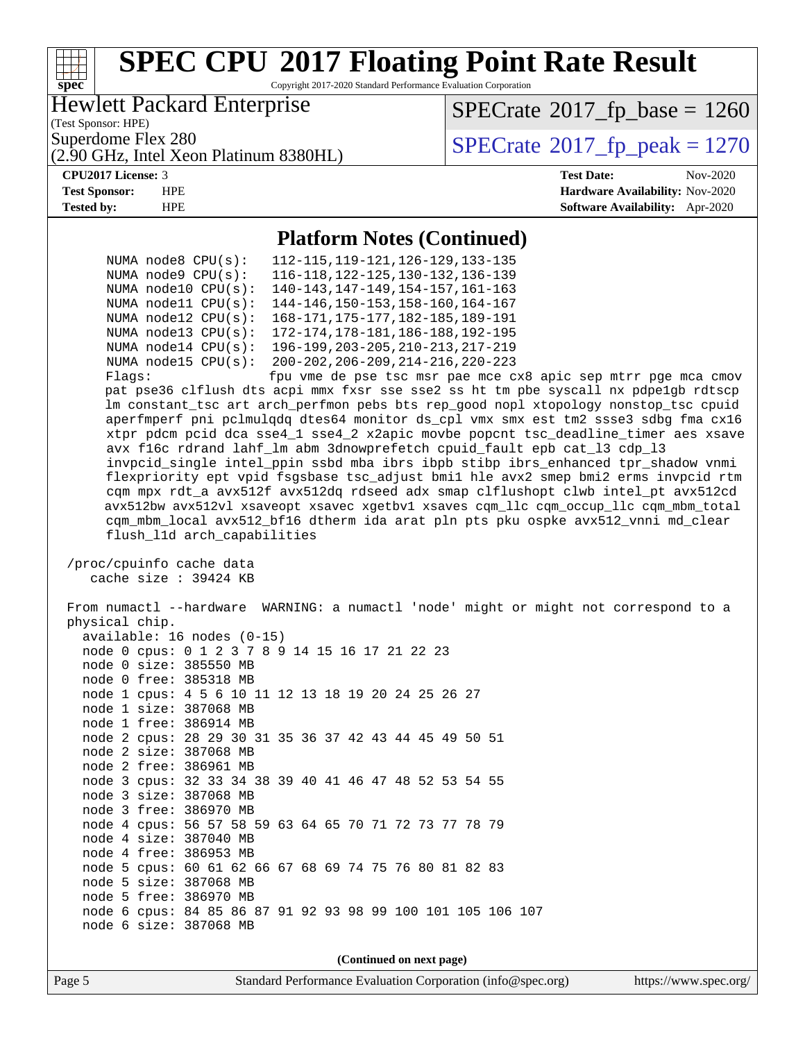

|  |  | am veceoc .stze. Japan Mo                                   |
|--|--|-------------------------------------------------------------|
|  |  | node 0 free: 385318 MB                                      |
|  |  | node 1 cpus: 4 5 6 10 11 12 13 18 19 20 24 25 26 27         |
|  |  | node 1 size: 387068 MB                                      |
|  |  | node 1 free: 386914 MB                                      |
|  |  | node 2 cpus: 28 29 30 31 35 36 37 42 43 44 45 49 50 51      |
|  |  | node 2 size: 387068 MB                                      |
|  |  | node 2 free: 386961 MB                                      |
|  |  | node 3 cpus: 32 33 34 38 39 40 41 46 47 48 52 53 54 55      |
|  |  | node 3 size: 387068 MB                                      |
|  |  | node 3 free: 386970 MB                                      |
|  |  | node 4 cpus: 56 57 58 59 63 64 65 70 71 72 73 77 78 79      |
|  |  | node 4 size: 387040 MB                                      |
|  |  | node 4 free: 386953 MB                                      |
|  |  | node 5 cpus: 60 61 62 66 67 68 69 74 75 76 80 81 82 83      |
|  |  | node 5 size: 387068 MB                                      |
|  |  | node 5 free: 386970 MB                                      |
|  |  | node 6 cpus: 84 85 86 87 91 92 93 98 99 100 101 105 106 107 |
|  |  | node 6 size: 387068 MB                                      |

**(Continued on next page)**

Page 5 Standard Performance Evaluation Corporation [\(info@spec.org\)](mailto:info@spec.org) <https://www.spec.org/>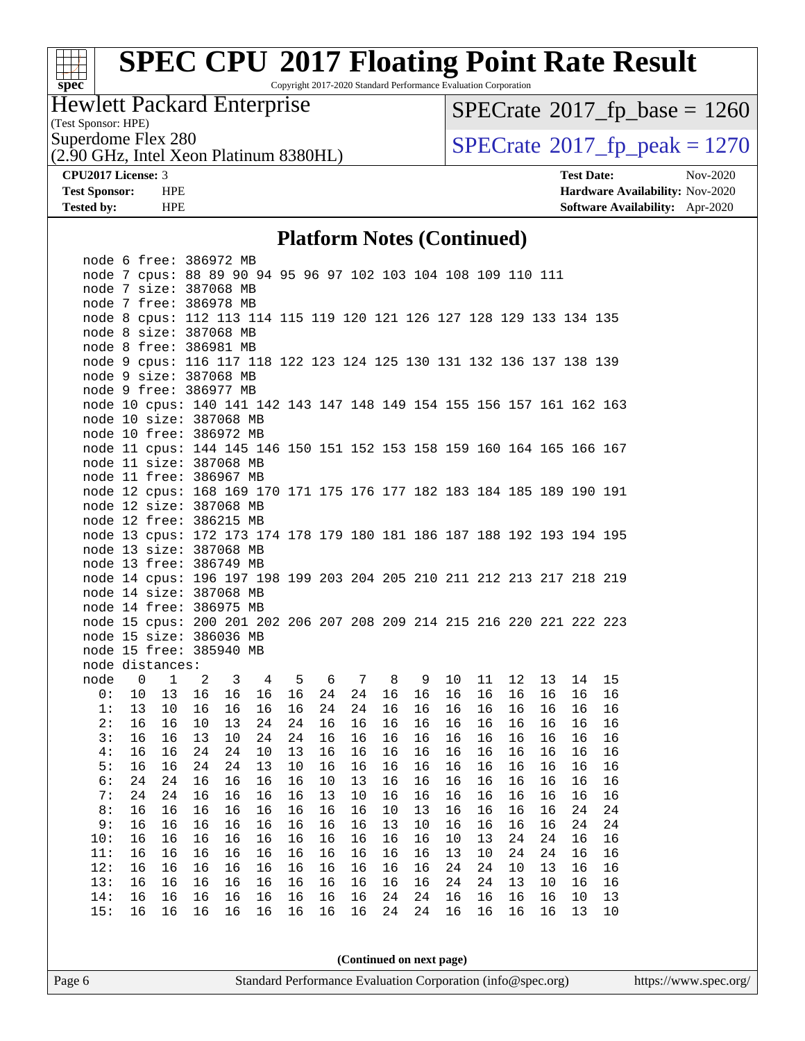# **[spec](http://www.spec.org/)**

## **[SPEC CPU](http://www.spec.org/auto/cpu2017/Docs/result-fields.html#SPECCPU2017FloatingPointRateResult)[2017 Floating Point Rate Result](http://www.spec.org/auto/cpu2017/Docs/result-fields.html#SPECCPU2017FloatingPointRateResult)**

Copyright 2017-2020 Standard Performance Evaluation Corporation

### Hewlett Packard Enterprise

(Test Sponsor: HPE)

 $SPECrate@2017_fp\_base = 1260$  $SPECrate@2017_fp\_base = 1260$ 

(2.90 GHz, Intel Xeon Platinum 8380HL)

Superdome Flex 280<br>  $(2.90 \text{ GHz})$  [SPECrate](http://www.spec.org/auto/cpu2017/Docs/result-fields.html#SPECrate2017fppeak)®[2017\\_fp\\_peak = 1](http://www.spec.org/auto/cpu2017/Docs/result-fields.html#SPECrate2017fppeak)270

**[CPU2017 License:](http://www.spec.org/auto/cpu2017/Docs/result-fields.html#CPU2017License)** 3 **[Test Date:](http://www.spec.org/auto/cpu2017/Docs/result-fields.html#TestDate)** Nov-2020 **[Test Sponsor:](http://www.spec.org/auto/cpu2017/Docs/result-fields.html#TestSponsor)** HPE **[Hardware Availability:](http://www.spec.org/auto/cpu2017/Docs/result-fields.html#HardwareAvailability)** Nov-2020 **[Tested by:](http://www.spec.org/auto/cpu2017/Docs/result-fields.html#Testedby)** HPE **[Software Availability:](http://www.spec.org/auto/cpu2017/Docs/result-fields.html#SoftwareAvailability)** Apr-2020

### **[Platform Notes \(Continued\)](http://www.spec.org/auto/cpu2017/Docs/result-fields.html#PlatformNotes)**

|      |                | node 6 free: 386972 MB                                                |    |    |    |    |    |    |    |    |    |    |    |    |    |    |
|------|----------------|-----------------------------------------------------------------------|----|----|----|----|----|----|----|----|----|----|----|----|----|----|
|      |                | node 7 cpus: 88 89 90 94 95 96 97 102 103 104 108 109 110 111         |    |    |    |    |    |    |    |    |    |    |    |    |    |    |
|      |                | node 7 size: 387068 MB                                                |    |    |    |    |    |    |    |    |    |    |    |    |    |    |
|      |                | node 7 free: 386978 MB                                                |    |    |    |    |    |    |    |    |    |    |    |    |    |    |
|      |                | node 8 cpus: 112 113 114 115 119 120 121 126 127 128 129 133 134 135  |    |    |    |    |    |    |    |    |    |    |    |    |    |    |
|      |                | node 8 size: 387068 MB                                                |    |    |    |    |    |    |    |    |    |    |    |    |    |    |
|      |                | node 8 free: 386981 MB                                                |    |    |    |    |    |    |    |    |    |    |    |    |    |    |
|      |                | node 9 cpus: 116 117 118 122 123 124 125 130 131 132 136 137 138 139  |    |    |    |    |    |    |    |    |    |    |    |    |    |    |
|      |                | node 9 size: 387068 MB                                                |    |    |    |    |    |    |    |    |    |    |    |    |    |    |
|      |                | node 9 free: 386977 MB                                                |    |    |    |    |    |    |    |    |    |    |    |    |    |    |
|      |                | node 10 cpus: 140 141 142 143 147 148 149 154 155 156 157 161 162 163 |    |    |    |    |    |    |    |    |    |    |    |    |    |    |
|      |                | node 10 size: 387068 MB                                               |    |    |    |    |    |    |    |    |    |    |    |    |    |    |
|      |                | node 10 free: 386972 MB                                               |    |    |    |    |    |    |    |    |    |    |    |    |    |    |
|      |                | node 11 cpus: 144 145 146 150 151 152 153 158 159 160 164 165 166 167 |    |    |    |    |    |    |    |    |    |    |    |    |    |    |
|      |                | node 11 size: 387068 MB                                               |    |    |    |    |    |    |    |    |    |    |    |    |    |    |
|      |                | node 11 free: 386967 MB                                               |    |    |    |    |    |    |    |    |    |    |    |    |    |    |
|      |                | node 12 cpus: 168 169 170 171 175 176 177 182 183 184 185 189 190 191 |    |    |    |    |    |    |    |    |    |    |    |    |    |    |
|      |                | node 12 size: 387068 MB                                               |    |    |    |    |    |    |    |    |    |    |    |    |    |    |
|      |                | node 12 free: 386215 MB                                               |    |    |    |    |    |    |    |    |    |    |    |    |    |    |
|      |                | node 13 cpus: 172 173 174 178 179 180 181 186 187 188 192 193 194 195 |    |    |    |    |    |    |    |    |    |    |    |    |    |    |
|      |                | node 13 size: 387068 MB                                               |    |    |    |    |    |    |    |    |    |    |    |    |    |    |
|      |                | node 13 free: 386749 MB                                               |    |    |    |    |    |    |    |    |    |    |    |    |    |    |
|      |                | node 14 cpus: 196 197 198 199 203 204 205 210 211 212 213 217 218 219 |    |    |    |    |    |    |    |    |    |    |    |    |    |    |
|      |                | node 14 size: 387068 MB                                               |    |    |    |    |    |    |    |    |    |    |    |    |    |    |
|      |                | node 14 free: 386975 MB                                               |    |    |    |    |    |    |    |    |    |    |    |    |    |    |
|      |                | node 15 cpus: 200 201 202 206 207 208 209 214 215 216 220 221 222 223 |    |    |    |    |    |    |    |    |    |    |    |    |    |    |
|      |                | node 15 size: 386036 MB                                               |    |    |    |    |    |    |    |    |    |    |    |    |    |    |
|      |                | node 15 free: 385940 MB                                               |    |    |    |    |    |    |    |    |    |    |    |    |    |    |
|      |                | node distances:                                                       |    |    |    |    |    |    |    |    |    |    |    |    |    |    |
| node | $\overline{0}$ | $\mathbf{1}$                                                          | 2  | 3  | 4  | 5  | 6  | 7  | 8  | 9  | 10 | 11 | 12 | 13 | 14 | 15 |
| 0:   | 10             | 13                                                                    | 16 | 16 | 16 | 16 | 24 | 24 | 16 | 16 | 16 | 16 | 16 | 16 | 16 | 16 |
| 1:   | 13             | 10                                                                    | 16 | 16 | 16 | 16 | 24 | 24 | 16 | 16 | 16 | 16 | 16 | 16 | 16 | 16 |
| 2:   | 16             | 16                                                                    | 10 | 13 | 24 | 24 | 16 | 16 | 16 | 16 | 16 | 16 | 16 | 16 | 16 | 16 |
| 3:   | 16             | 16                                                                    | 13 | 10 | 24 | 24 | 16 | 16 | 16 | 16 | 16 | 16 | 16 | 16 | 16 | 16 |
| 4:   | 16             | 16                                                                    | 24 | 24 | 10 | 13 | 16 | 16 | 16 | 16 | 16 | 16 | 16 | 16 | 16 | 16 |
| 5:   | 16             | 16                                                                    | 24 | 24 | 13 | 10 | 16 | 16 | 16 | 16 | 16 | 16 | 16 | 16 | 16 | 16 |
| 6:   | 24             | 24                                                                    | 16 | 16 | 16 | 16 | 10 | 13 | 16 | 16 | 16 | 16 | 16 | 16 | 16 | 16 |
| 7:   | 24             | 24                                                                    | 16 | 16 | 16 | 16 | 13 | 10 | 16 | 16 | 16 | 16 | 16 | 16 | 16 | 16 |
| 8:   | 16             | 16                                                                    | 16 | 16 | 16 | 16 | 16 | 16 | 10 | 13 | 16 | 16 | 16 | 16 | 24 | 24 |
| 9:   | 16             | 16                                                                    | 16 | 16 | 16 | 16 | 16 | 16 | 13 | 10 | 16 | 16 | 16 | 16 | 24 | 24 |
| 10:  | 16             | 16                                                                    | 16 | 16 | 16 | 16 | 16 | 16 | 16 | 16 | 10 | 13 | 24 | 24 | 16 | 16 |
| 11:  | 16             | 16                                                                    | 16 | 16 | 16 | 16 | 16 | 16 | 16 | 16 | 13 | 10 | 24 | 24 | 16 | 16 |
| 12:  | 16             | 16                                                                    | 16 | 16 | 16 | 16 | 16 | 16 | 16 | 16 | 24 | 24 | 10 | 13 | 16 | 16 |
| 13:  | 16             | 16                                                                    | 16 | 16 | 16 | 16 | 16 | 16 | 16 | 16 | 24 | 24 | 13 | 10 | 16 | 16 |
|      | 16             | 16                                                                    | 16 | 16 | 16 | 16 | 16 | 16 | 24 | 24 | 16 | 16 | 16 | 16 | 10 | 13 |
| 14:  |                |                                                                       |    |    |    |    |    |    |    |    |    |    |    |    |    |    |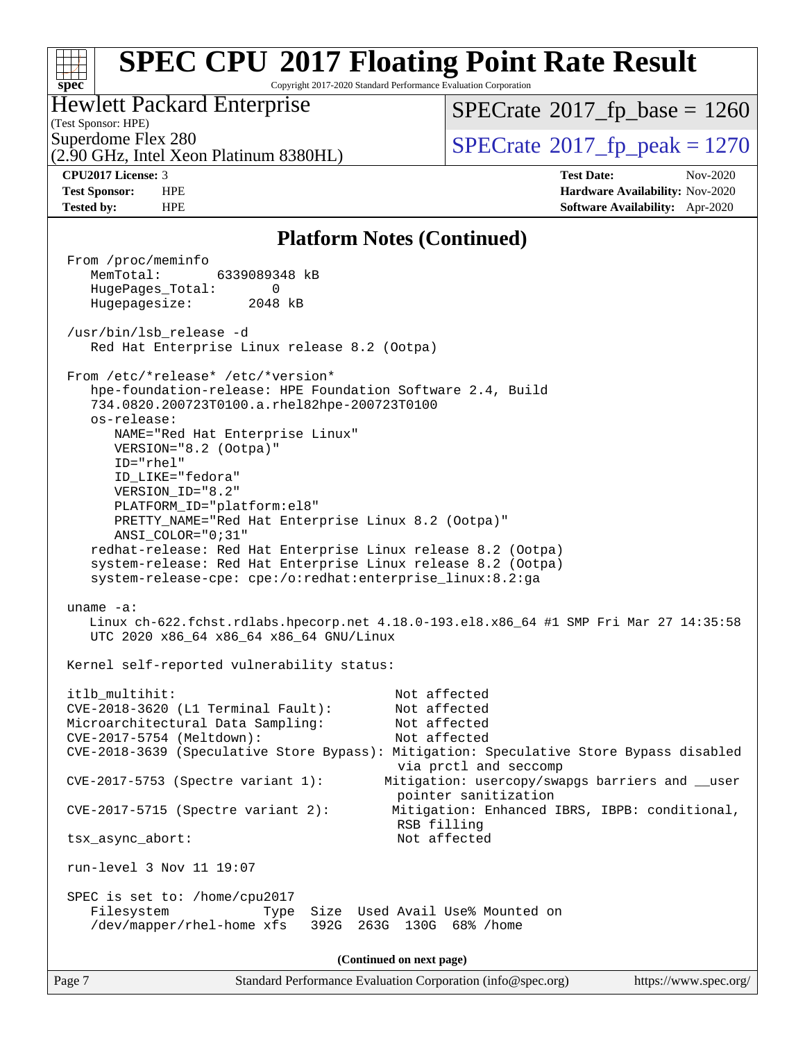#### **[SPEC CPU](http://www.spec.org/auto/cpu2017/Docs/result-fields.html#SPECCPU2017FloatingPointRateResult)[2017 Floating Point Rate Result](http://www.spec.org/auto/cpu2017/Docs/result-fields.html#SPECCPU2017FloatingPointRateResult)**  $\pm r$ **[spec](http://www.spec.org/)** Copyright 2017-2020 Standard Performance Evaluation Corporation Hewlett Packard Enterprise  $SPECTate$ <sup>®</sup>[2017\\_fp\\_base =](http://www.spec.org/auto/cpu2017/Docs/result-fields.html#SPECrate2017fpbase) 1260 (Test Sponsor: HPE) Superdome Flex 280<br> $\angle$  [SPECrate](http://www.spec.org/auto/cpu2017/Docs/result-fields.html#SPECrate2017fppeak)®[2017\\_fp\\_peak = 1](http://www.spec.org/auto/cpu2017/Docs/result-fields.html#SPECrate2017fppeak)270 (2.90 GHz, Intel Xeon Platinum 8380HL) **[CPU2017 License:](http://www.spec.org/auto/cpu2017/Docs/result-fields.html#CPU2017License)** 3 **[Test Date:](http://www.spec.org/auto/cpu2017/Docs/result-fields.html#TestDate)** Nov-2020 **[Test Sponsor:](http://www.spec.org/auto/cpu2017/Docs/result-fields.html#TestSponsor)** HPE **[Hardware Availability:](http://www.spec.org/auto/cpu2017/Docs/result-fields.html#HardwareAvailability)** Nov-2020 **[Tested by:](http://www.spec.org/auto/cpu2017/Docs/result-fields.html#Testedby)** HPE **[Software Availability:](http://www.spec.org/auto/cpu2017/Docs/result-fields.html#SoftwareAvailability)** Apr-2020 **[Platform Notes \(Continued\)](http://www.spec.org/auto/cpu2017/Docs/result-fields.html#PlatformNotes)** From /proc/meminfo MemTotal: 6339089348 kB HugePages\_Total: 0 Hugepagesize: 2048 kB

Kernel self-reported vulnerability status:

UTC 2020 x86\_64 x86\_64 x86\_64 GNU/Linux

Red Hat Enterprise Linux release 8.2 (Ootpa)

734.0820.200723T0100.a.rhel82hpe-200723T0100

NAME="Red Hat Enterprise Linux"

hpe-foundation-release: HPE Foundation Software 2.4, Build

PRETTY\_NAME="Red Hat Enterprise Linux 8.2 (Ootpa)"

 redhat-release: Red Hat Enterprise Linux release 8.2 (Ootpa) system-release: Red Hat Enterprise Linux release 8.2 (Ootpa) system-release-cpe: cpe:/o:redhat:enterprise\_linux:8.2:ga

/usr/bin/lsb\_release -d

os-release:

uname -a:

ID="rhel"

From /etc/\*release\* /etc/\*version\*

VERSION="8.2 (Ootpa)"

PLATFORM\_ID="platform:el8"

 ID\_LIKE="fedora" VERSION\_ID="8.2"

ANSI\_COLOR="0;31"

itlb\_multihit: Not affected CVE-2018-3620 (L1 Terminal Fault): Not affected Microarchitectural Data Sampling: CVE-2017-5754 (Meltdown): Not affected CVE-2018-3639 (Speculative Store Bypass): Mitigation: Speculative Store Bypass disabled via prctl and seccomp CVE-2017-5753 (Spectre variant 1): Mitigation: usercopy/swapgs barriers and \_\_user pointer sanitization CVE-2017-5715 (Spectre variant 2): Mitigation: Enhanced IBRS, IBPB: conditional, RSB filling tsx\_async\_abort: Not affected run-level 3 Nov 11 19:07 SPEC is set to: /home/cpu2017 Filesystem Type Size Used Avail Use% Mounted on /dev/mapper/rhel-home xfs 392G 263G 130G 68% /home

Linux ch-622.fchst.rdlabs.hpecorp.net 4.18.0-193.el8.x86\_64 #1 SMP Fri Mar 27 14:35:58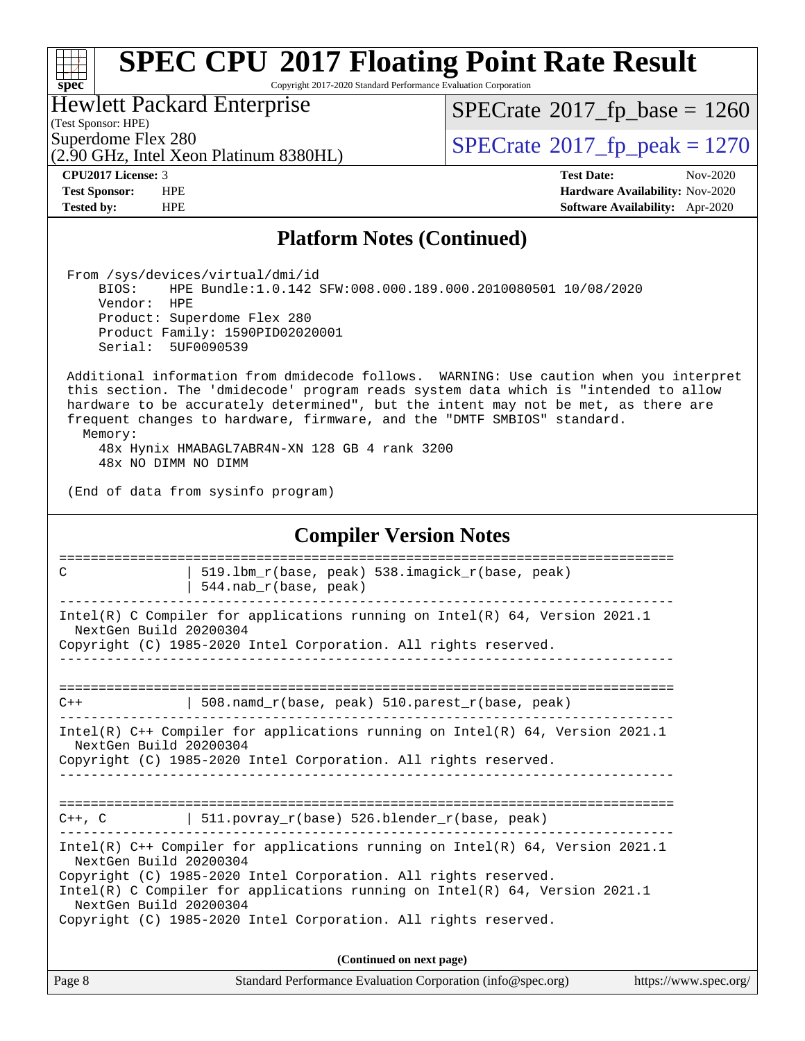### a tim **[spec](http://www.spec.org/)**

## **[SPEC CPU](http://www.spec.org/auto/cpu2017/Docs/result-fields.html#SPECCPU2017FloatingPointRateResult)[2017 Floating Point Rate Result](http://www.spec.org/auto/cpu2017/Docs/result-fields.html#SPECCPU2017FloatingPointRateResult)**

Copyright 2017-2020 Standard Performance Evaluation Corporation

Hewlett Packard Enterprise

 $SPECTate$ <sup>®</sup>[2017\\_fp\\_base =](http://www.spec.org/auto/cpu2017/Docs/result-fields.html#SPECrate2017fpbase) 1260

(Test Sponsor: HPE)

(2.90 GHz, Intel Xeon Platinum 8380HL)

Superdome Flex 280<br>  $\overline{SPECrate}$  $\overline{SPECrate}$  $\overline{SPECrate}$ <sup>®</sup>[2017\\_fp\\_peak = 1](http://www.spec.org/auto/cpu2017/Docs/result-fields.html#SPECrate2017fppeak)270

**[CPU2017 License:](http://www.spec.org/auto/cpu2017/Docs/result-fields.html#CPU2017License)** 3 **[Test Date:](http://www.spec.org/auto/cpu2017/Docs/result-fields.html#TestDate)** Nov-2020 **[Test Sponsor:](http://www.spec.org/auto/cpu2017/Docs/result-fields.html#TestSponsor)** HPE **[Hardware Availability:](http://www.spec.org/auto/cpu2017/Docs/result-fields.html#HardwareAvailability)** Nov-2020 **[Tested by:](http://www.spec.org/auto/cpu2017/Docs/result-fields.html#Testedby)** HPE **[Software Availability:](http://www.spec.org/auto/cpu2017/Docs/result-fields.html#SoftwareAvailability)** Apr-2020

### **[Platform Notes \(Continued\)](http://www.spec.org/auto/cpu2017/Docs/result-fields.html#PlatformNotes)**

 From /sys/devices/virtual/dmi/id BIOS: HPE Bundle:1.0.142 SFW:008.000.189.000.2010080501 10/08/2020 Vendor: HPE Product: Superdome Flex 280 Product Family: 1590PID02020001 Serial: 5UF0090539

 Additional information from dmidecode follows. WARNING: Use caution when you interpret this section. The 'dmidecode' program reads system data which is "intended to allow hardware to be accurately determined", but the intent may not be met, as there are frequent changes to hardware, firmware, and the "DMTF SMBIOS" standard. Memory:

 48x Hynix HMABAGL7ABR4N-XN 128 GB 4 rank 3200 48x NO DIMM NO DIMM

(End of data from sysinfo program)

| <b>Compiler Version Notes</b>                                                                                                                                                                                                                                                                                                                               |  |  |  |  |  |  |  |  |
|-------------------------------------------------------------------------------------------------------------------------------------------------------------------------------------------------------------------------------------------------------------------------------------------------------------------------------------------------------------|--|--|--|--|--|--|--|--|
| 519.1bm_r(base, peak) 538.imagick_r(base, peak)<br>C<br>$544.nab_r(base, peak)$                                                                                                                                                                                                                                                                             |  |  |  |  |  |  |  |  |
| Intel(R) C Compiler for applications running on Intel(R) 64, Version 2021.1<br>NextGen Build 20200304<br>Copyright (C) 1985-2020 Intel Corporation. All rights reserved.                                                                                                                                                                                    |  |  |  |  |  |  |  |  |
| 508. namd $r(base, peak)$ 510. parest $r(base, peak)$<br>$C++$                                                                                                                                                                                                                                                                                              |  |  |  |  |  |  |  |  |
| Intel(R) $C++$ Compiler for applications running on Intel(R) 64, Version 2021.1<br>NextGen Build 20200304<br>Copyright (C) 1985-2020 Intel Corporation. All rights reserved.<br>----------------------------------                                                                                                                                          |  |  |  |  |  |  |  |  |
| $C++$ , C $\qquad$   511. povray r(base) 526. blender r(base, peak)                                                                                                                                                                                                                                                                                         |  |  |  |  |  |  |  |  |
| Intel(R) $C++$ Compiler for applications running on Intel(R) 64, Version 2021.1<br>NextGen Build 20200304<br>Copyright (C) 1985-2020 Intel Corporation. All rights reserved.<br>Intel(R) C Compiler for applications running on Intel(R) $64$ , Version 2021.1<br>NextGen Build 20200304<br>Copyright (C) 1985-2020 Intel Corporation. All rights reserved. |  |  |  |  |  |  |  |  |
| (Continued on next page)                                                                                                                                                                                                                                                                                                                                    |  |  |  |  |  |  |  |  |

| Page 8 | Standard Performance Evaluation Corporation (info@spec.org) | https://www.spec.org/ |
|--------|-------------------------------------------------------------|-----------------------|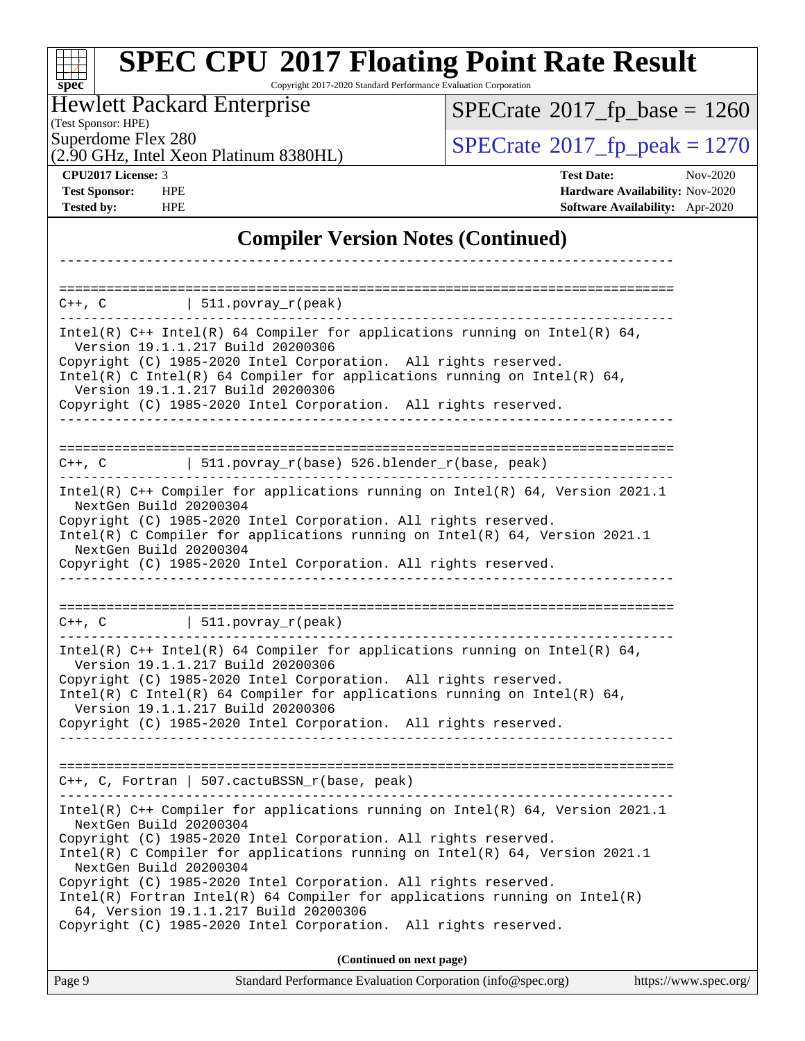#### Page 9 Standard Performance Evaluation Corporation [\(info@spec.org\)](mailto:info@spec.org) <https://www.spec.org/> **[spec](http://www.spec.org/) [SPEC CPU](http://www.spec.org/auto/cpu2017/Docs/result-fields.html#SPECCPU2017FloatingPointRateResult)[2017 Floating Point Rate Result](http://www.spec.org/auto/cpu2017/Docs/result-fields.html#SPECCPU2017FloatingPointRateResult)** Copyright 2017-2020 Standard Performance Evaluation Corporation (Test Sponsor: HPE) Hewlett Packard Enterprise (2.90 GHz, Intel Xeon Platinum 8380HL) Superdome Flex 280<br>  $\angle Q$  [SPECrate](http://www.spec.org/auto/cpu2017/Docs/result-fields.html#SPECrate2017fppeak)<sup>®</sup>2017 fp\_peak = 1270  $SPECTate$ <sup>®</sup>[2017\\_fp\\_base =](http://www.spec.org/auto/cpu2017/Docs/result-fields.html#SPECrate2017fpbase) 1260 **[CPU2017 License:](http://www.spec.org/auto/cpu2017/Docs/result-fields.html#CPU2017License)** 3 **[Test Date:](http://www.spec.org/auto/cpu2017/Docs/result-fields.html#TestDate)** Nov-2020 **[Test Sponsor:](http://www.spec.org/auto/cpu2017/Docs/result-fields.html#TestSponsor)** HPE **[Hardware Availability:](http://www.spec.org/auto/cpu2017/Docs/result-fields.html#HardwareAvailability)** Nov-2020 **[Tested by:](http://www.spec.org/auto/cpu2017/Docs/result-fields.html#Testedby)** HPE **[Software Availability:](http://www.spec.org/auto/cpu2017/Docs/result-fields.html#SoftwareAvailability)** Apr-2020 **[Compiler Version Notes \(Continued\)](http://www.spec.org/auto/cpu2017/Docs/result-fields.html#CompilerVersionNotes)** ------------------------------------------------------------------------------ ==============================================================================  $C++$ ,  $C$  | 511.povray\_r(peak) ------------------------------------------------------------------------------ Intel(R)  $C++$  Intel(R) 64 Compiler for applications running on Intel(R) 64, Version 19.1.1.217 Build 20200306 Copyright (C) 1985-2020 Intel Corporation. All rights reserved. Intel(R) C Intel(R) 64 Compiler for applications running on Intel(R)  $64$ , Version 19.1.1.217 Build 20200306 Copyright (C) 1985-2020 Intel Corporation. All rights reserved. ------------------------------------------------------------------------------ ==============================================================================  $C++$ ,  $C$  | 511.povray\_r(base) 526.blender\_r(base, peak) ------------------------------------------------------------------------------ Intel(R) C++ Compiler for applications running on Intel(R) 64, Version 2021.1 NextGen Build 20200304 Copyright (C) 1985-2020 Intel Corporation. All rights reserved. Intel(R) C Compiler for applications running on Intel(R) 64, Version 2021.1 NextGen Build 20200304 Copyright (C) 1985-2020 Intel Corporation. All rights reserved. ------------------------------------------------------------------------------ ==============================================================================  $C++$ ,  $C$  | 511.povray\_r(peak) ------------------------------------------------------------------------------ Intel(R) C++ Intel(R) 64 Compiler for applications running on Intel(R) 64, Version 19.1.1.217 Build 20200306 Copyright (C) 1985-2020 Intel Corporation. All rights reserved. Intel(R) C Intel(R) 64 Compiler for applications running on Intel(R)  $64$ , Version 19.1.1.217 Build 20200306 Copyright (C) 1985-2020 Intel Corporation. All rights reserved. ------------------------------------------------------------------------------ ============================================================================== C++, C, Fortran | 507.cactuBSSN\_r(base, peak) ------------------------------------------------------------------------------ Intel(R) C++ Compiler for applications running on Intel(R) 64, Version 2021.1 NextGen Build 20200304 Copyright (C) 1985-2020 Intel Corporation. All rights reserved. Intel(R) C Compiler for applications running on Intel(R) 64, Version 2021.1 NextGen Build 20200304 Copyright (C) 1985-2020 Intel Corporation. All rights reserved. Intel(R) Fortran Intel(R) 64 Compiler for applications running on Intel(R) 64, Version 19.1.1.217 Build 20200306 Copyright (C) 1985-2020 Intel Corporation. All rights reserved. **(Continued on next page)**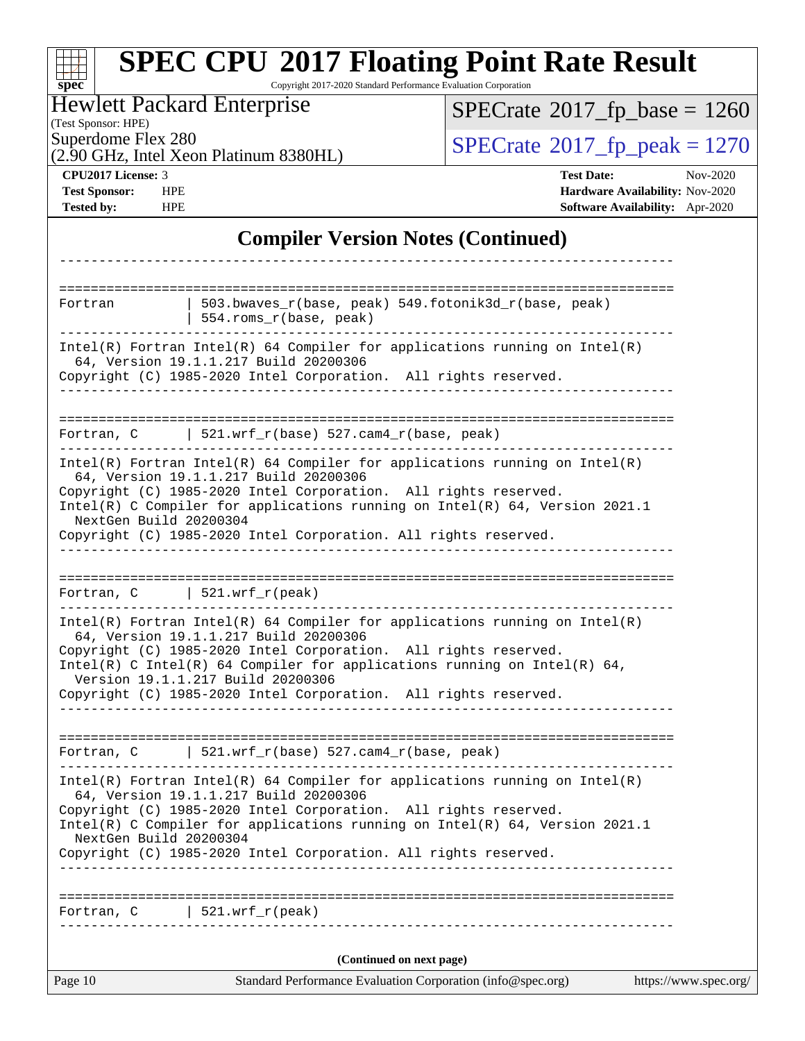| $spec^*$                                                                                               | <b>SPEC CPU®2017 Floating Point Rate Result</b><br>Copyright 2017-2020 Standard Performance Evaluation Corporation                                                                                                                                                                                                                                                           |                                       |                                                                                       |  |  |  |  |
|--------------------------------------------------------------------------------------------------------|------------------------------------------------------------------------------------------------------------------------------------------------------------------------------------------------------------------------------------------------------------------------------------------------------------------------------------------------------------------------------|---------------------------------------|---------------------------------------------------------------------------------------|--|--|--|--|
| <b>Hewlett Packard Enterprise</b><br>(Test Sponsor: HPE)                                               |                                                                                                                                                                                                                                                                                                                                                                              | $SPECrate^{\circ}2017$ fp base = 1260 |                                                                                       |  |  |  |  |
| Superdome Flex 280<br>$SPECrate^{\circ}2017_fp\_peak = 1270$<br>(2.90 GHz, Intel Xeon Platinum 8380HL) |                                                                                                                                                                                                                                                                                                                                                                              |                                       |                                                                                       |  |  |  |  |
| CPU2017 License: 3<br><b>Test Sponsor:</b><br><b>HPE</b><br><b>Tested by:</b><br><b>HPE</b>            |                                                                                                                                                                                                                                                                                                                                                                              | <b>Test Date:</b>                     | Nov-2020<br>Hardware Availability: Nov-2020<br><b>Software Availability:</b> Apr-2020 |  |  |  |  |
|                                                                                                        | <b>Compiler Version Notes (Continued)</b>                                                                                                                                                                                                                                                                                                                                    |                                       |                                                                                       |  |  |  |  |
|                                                                                                        |                                                                                                                                                                                                                                                                                                                                                                              |                                       |                                                                                       |  |  |  |  |
| Fortran                                                                                                | 503.bwaves_r(base, peak) 549.fotonik3d_r(base, peak)<br>554.roms_r(base, peak)                                                                                                                                                                                                                                                                                               |                                       |                                                                                       |  |  |  |  |
|                                                                                                        | $Intel(R)$ Fortran Intel(R) 64 Compiler for applications running on Intel(R)<br>64, Version 19.1.1.217 Build 20200306<br>Copyright (C) 1985-2020 Intel Corporation. All rights reserved.                                                                                                                                                                                     |                                       |                                                                                       |  |  |  |  |
| Fortran, C                                                                                             | $521.wrf_r(base) 527.cam4_r(base, peak)$                                                                                                                                                                                                                                                                                                                                     |                                       |                                                                                       |  |  |  |  |
| NextGen Build 20200304                                                                                 | $Intel(R)$ Fortran Intel(R) 64 Compiler for applications running on Intel(R)<br>64, Version 19.1.1.217 Build 20200306<br>Copyright (C) 1985-2020 Intel Corporation. All rights reserved.<br>Intel(R) C Compiler for applications running on $Intel(R) 64$ , Version 2021.1<br>Copyright (C) 1985-2020 Intel Corporation. All rights reserved.                                |                                       |                                                                                       |  |  |  |  |
| Fortran, C                                                                                             | 521.wrf $r(\text{peak})$                                                                                                                                                                                                                                                                                                                                                     |                                       |                                                                                       |  |  |  |  |
|                                                                                                        | $Intel(R)$ Fortran Intel(R) 64 Compiler for applications running on Intel(R)<br>64, Version 19.1.1.217 Build 20200306<br>Copyright (C) 1985-2020 Intel Corporation. All rights reserved.<br>Intel(R) C Intel(R) 64 Compiler for applications running on Intel(R) 64,<br>Version 19.1.1.217 Build 20200306<br>Copyright (C) 1985-2020 Intel Corporation. All rights reserved. |                                       |                                                                                       |  |  |  |  |
|                                                                                                        | Fortran, C $521.wrf_r(base) 527.cam4_r(base, peak)$                                                                                                                                                                                                                                                                                                                          |                                       |                                                                                       |  |  |  |  |
| NextGen Build 20200304                                                                                 | $Intel(R)$ Fortran Intel(R) 64 Compiler for applications running on Intel(R)<br>64, Version 19.1.1.217 Build 20200306<br>Copyright (C) 1985-2020 Intel Corporation. All rights reserved.<br>Intel(R) C Compiler for applications running on $Intel(R) 64$ , Version 2021.1<br>Copyright (C) 1985-2020 Intel Corporation. All rights reserved.                                |                                       |                                                                                       |  |  |  |  |
|                                                                                                        | Fortran, $C$   521.wrf_r(peak)                                                                                                                                                                                                                                                                                                                                               |                                       |                                                                                       |  |  |  |  |
|                                                                                                        | (Continued on next page)                                                                                                                                                                                                                                                                                                                                                     |                                       |                                                                                       |  |  |  |  |
| Page 10                                                                                                | Standard Performance Evaluation Corporation (info@spec.org)                                                                                                                                                                                                                                                                                                                  |                                       | https://www.spec.org/                                                                 |  |  |  |  |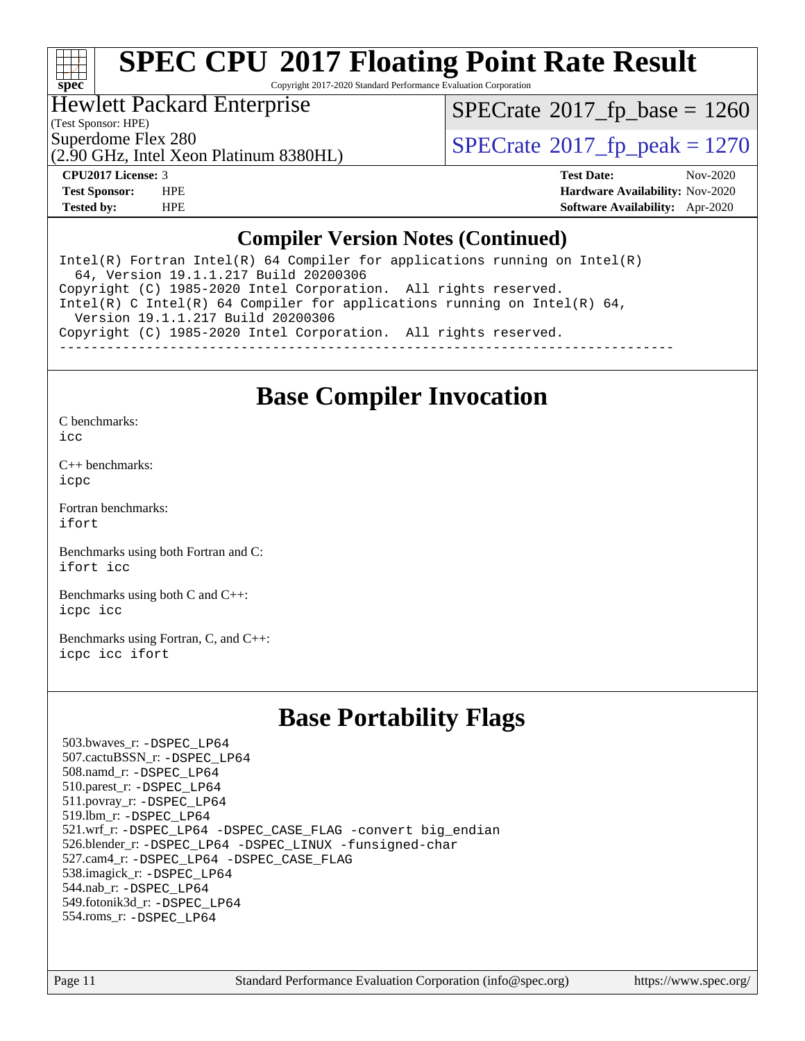

## **[SPEC CPU](http://www.spec.org/auto/cpu2017/Docs/result-fields.html#SPECCPU2017FloatingPointRateResult)[2017 Floating Point Rate Result](http://www.spec.org/auto/cpu2017/Docs/result-fields.html#SPECCPU2017FloatingPointRateResult)**

Copyright 2017-2020 Standard Performance Evaluation Corporation

### Hewlett Packard Enterprise

(Test Sponsor: HPE)

 $SPECTate$ <sup>®</sup>[2017\\_fp\\_base =](http://www.spec.org/auto/cpu2017/Docs/result-fields.html#SPECrate2017fpbase) 1260

Superdome Flex 280<br>  $\angle Q$  [SPECrate](http://www.spec.org/auto/cpu2017/Docs/result-fields.html#SPECrate2017fppeak)<sup>®</sup>2017 fp\_peak = 1270

## (2.90 GHz, Intel Xeon Platinum 8380HL)

**[CPU2017 License:](http://www.spec.org/auto/cpu2017/Docs/result-fields.html#CPU2017License)** 3 **[Test Date:](http://www.spec.org/auto/cpu2017/Docs/result-fields.html#TestDate)** Nov-2020 **[Test Sponsor:](http://www.spec.org/auto/cpu2017/Docs/result-fields.html#TestSponsor)** HPE **[Hardware Availability:](http://www.spec.org/auto/cpu2017/Docs/result-fields.html#HardwareAvailability)** Nov-2020 **[Tested by:](http://www.spec.org/auto/cpu2017/Docs/result-fields.html#Testedby)** HPE **[Software Availability:](http://www.spec.org/auto/cpu2017/Docs/result-fields.html#SoftwareAvailability)** Apr-2020

### **[Compiler Version Notes \(Continued\)](http://www.spec.org/auto/cpu2017/Docs/result-fields.html#CompilerVersionNotes)**

Intel(R) Fortran Intel(R)  $64$  Compiler for applications running on Intel(R) 64, Version 19.1.1.217 Build 20200306 Copyright (C) 1985-2020 Intel Corporation. All rights reserved. Intel(R) C Intel(R) 64 Compiler for applications running on Intel(R) 64, Version 19.1.1.217 Build 20200306 Copyright (C) 1985-2020 Intel Corporation. All rights reserved. ------------------------------------------------------------------------------

### **[Base Compiler Invocation](http://www.spec.org/auto/cpu2017/Docs/result-fields.html#BaseCompilerInvocation)**

[C benchmarks](http://www.spec.org/auto/cpu2017/Docs/result-fields.html#Cbenchmarks):

[icc](http://www.spec.org/cpu2017/results/res2020q4/cpu2017-20201123-24416.flags.html#user_CCbase_intel_icc_66fc1ee009f7361af1fbd72ca7dcefbb700085f36577c54f309893dd4ec40d12360134090235512931783d35fd58c0460139e722d5067c5574d8eaf2b3e37e92)

[C++ benchmarks:](http://www.spec.org/auto/cpu2017/Docs/result-fields.html#CXXbenchmarks) [icpc](http://www.spec.org/cpu2017/results/res2020q4/cpu2017-20201123-24416.flags.html#user_CXXbase_intel_icpc_c510b6838c7f56d33e37e94d029a35b4a7bccf4766a728ee175e80a419847e808290a9b78be685c44ab727ea267ec2f070ec5dc83b407c0218cded6866a35d07)

[Fortran benchmarks](http://www.spec.org/auto/cpu2017/Docs/result-fields.html#Fortranbenchmarks): [ifort](http://www.spec.org/cpu2017/results/res2020q4/cpu2017-20201123-24416.flags.html#user_FCbase_intel_ifort_8111460550e3ca792625aed983ce982f94888b8b503583aa7ba2b8303487b4d8a21a13e7191a45c5fd58ff318f48f9492884d4413fa793fd88dd292cad7027ca)

[Benchmarks using both Fortran and C](http://www.spec.org/auto/cpu2017/Docs/result-fields.html#BenchmarksusingbothFortranandC): [ifort](http://www.spec.org/cpu2017/results/res2020q4/cpu2017-20201123-24416.flags.html#user_CC_FCbase_intel_ifort_8111460550e3ca792625aed983ce982f94888b8b503583aa7ba2b8303487b4d8a21a13e7191a45c5fd58ff318f48f9492884d4413fa793fd88dd292cad7027ca) [icc](http://www.spec.org/cpu2017/results/res2020q4/cpu2017-20201123-24416.flags.html#user_CC_FCbase_intel_icc_66fc1ee009f7361af1fbd72ca7dcefbb700085f36577c54f309893dd4ec40d12360134090235512931783d35fd58c0460139e722d5067c5574d8eaf2b3e37e92)

[Benchmarks using both C and C++](http://www.spec.org/auto/cpu2017/Docs/result-fields.html#BenchmarksusingbothCandCXX): [icpc](http://www.spec.org/cpu2017/results/res2020q4/cpu2017-20201123-24416.flags.html#user_CC_CXXbase_intel_icpc_c510b6838c7f56d33e37e94d029a35b4a7bccf4766a728ee175e80a419847e808290a9b78be685c44ab727ea267ec2f070ec5dc83b407c0218cded6866a35d07) [icc](http://www.spec.org/cpu2017/results/res2020q4/cpu2017-20201123-24416.flags.html#user_CC_CXXbase_intel_icc_66fc1ee009f7361af1fbd72ca7dcefbb700085f36577c54f309893dd4ec40d12360134090235512931783d35fd58c0460139e722d5067c5574d8eaf2b3e37e92)

[Benchmarks using Fortran, C, and C++:](http://www.spec.org/auto/cpu2017/Docs/result-fields.html#BenchmarksusingFortranCandCXX) [icpc](http://www.spec.org/cpu2017/results/res2020q4/cpu2017-20201123-24416.flags.html#user_CC_CXX_FCbase_intel_icpc_c510b6838c7f56d33e37e94d029a35b4a7bccf4766a728ee175e80a419847e808290a9b78be685c44ab727ea267ec2f070ec5dc83b407c0218cded6866a35d07) [icc](http://www.spec.org/cpu2017/results/res2020q4/cpu2017-20201123-24416.flags.html#user_CC_CXX_FCbase_intel_icc_66fc1ee009f7361af1fbd72ca7dcefbb700085f36577c54f309893dd4ec40d12360134090235512931783d35fd58c0460139e722d5067c5574d8eaf2b3e37e92) [ifort](http://www.spec.org/cpu2017/results/res2020q4/cpu2017-20201123-24416.flags.html#user_CC_CXX_FCbase_intel_ifort_8111460550e3ca792625aed983ce982f94888b8b503583aa7ba2b8303487b4d8a21a13e7191a45c5fd58ff318f48f9492884d4413fa793fd88dd292cad7027ca)

### **[Base Portability Flags](http://www.spec.org/auto/cpu2017/Docs/result-fields.html#BasePortabilityFlags)**

 503.bwaves\_r: [-DSPEC\\_LP64](http://www.spec.org/cpu2017/results/res2020q4/cpu2017-20201123-24416.flags.html#suite_basePORTABILITY503_bwaves_r_DSPEC_LP64) 507.cactuBSSN\_r: [-DSPEC\\_LP64](http://www.spec.org/cpu2017/results/res2020q4/cpu2017-20201123-24416.flags.html#suite_basePORTABILITY507_cactuBSSN_r_DSPEC_LP64) 508.namd\_r: [-DSPEC\\_LP64](http://www.spec.org/cpu2017/results/res2020q4/cpu2017-20201123-24416.flags.html#suite_basePORTABILITY508_namd_r_DSPEC_LP64) 510.parest\_r: [-DSPEC\\_LP64](http://www.spec.org/cpu2017/results/res2020q4/cpu2017-20201123-24416.flags.html#suite_basePORTABILITY510_parest_r_DSPEC_LP64) 511.povray\_r: [-DSPEC\\_LP64](http://www.spec.org/cpu2017/results/res2020q4/cpu2017-20201123-24416.flags.html#suite_basePORTABILITY511_povray_r_DSPEC_LP64) 519.lbm\_r: [-DSPEC\\_LP64](http://www.spec.org/cpu2017/results/res2020q4/cpu2017-20201123-24416.flags.html#suite_basePORTABILITY519_lbm_r_DSPEC_LP64) 521.wrf\_r: [-DSPEC\\_LP64](http://www.spec.org/cpu2017/results/res2020q4/cpu2017-20201123-24416.flags.html#suite_basePORTABILITY521_wrf_r_DSPEC_LP64) [-DSPEC\\_CASE\\_FLAG](http://www.spec.org/cpu2017/results/res2020q4/cpu2017-20201123-24416.flags.html#b521.wrf_r_baseCPORTABILITY_DSPEC_CASE_FLAG) [-convert big\\_endian](http://www.spec.org/cpu2017/results/res2020q4/cpu2017-20201123-24416.flags.html#user_baseFPORTABILITY521_wrf_r_convert_big_endian_c3194028bc08c63ac5d04de18c48ce6d347e4e562e8892b8bdbdc0214820426deb8554edfa529a3fb25a586e65a3d812c835984020483e7e73212c4d31a38223) 526.blender\_r: [-DSPEC\\_LP64](http://www.spec.org/cpu2017/results/res2020q4/cpu2017-20201123-24416.flags.html#suite_basePORTABILITY526_blender_r_DSPEC_LP64) [-DSPEC\\_LINUX](http://www.spec.org/cpu2017/results/res2020q4/cpu2017-20201123-24416.flags.html#b526.blender_r_baseCPORTABILITY_DSPEC_LINUX) [-funsigned-char](http://www.spec.org/cpu2017/results/res2020q4/cpu2017-20201123-24416.flags.html#user_baseCPORTABILITY526_blender_r_force_uchar_40c60f00ab013830e2dd6774aeded3ff59883ba5a1fc5fc14077f794d777847726e2a5858cbc7672e36e1b067e7e5c1d9a74f7176df07886a243d7cc18edfe67) 527.cam4\_r: [-DSPEC\\_LP64](http://www.spec.org/cpu2017/results/res2020q4/cpu2017-20201123-24416.flags.html#suite_basePORTABILITY527_cam4_r_DSPEC_LP64) [-DSPEC\\_CASE\\_FLAG](http://www.spec.org/cpu2017/results/res2020q4/cpu2017-20201123-24416.flags.html#b527.cam4_r_baseCPORTABILITY_DSPEC_CASE_FLAG) 538.imagick\_r: [-DSPEC\\_LP64](http://www.spec.org/cpu2017/results/res2020q4/cpu2017-20201123-24416.flags.html#suite_basePORTABILITY538_imagick_r_DSPEC_LP64) 544.nab\_r: [-DSPEC\\_LP64](http://www.spec.org/cpu2017/results/res2020q4/cpu2017-20201123-24416.flags.html#suite_basePORTABILITY544_nab_r_DSPEC_LP64) 549.fotonik3d\_r: [-DSPEC\\_LP64](http://www.spec.org/cpu2017/results/res2020q4/cpu2017-20201123-24416.flags.html#suite_basePORTABILITY549_fotonik3d_r_DSPEC_LP64) 554.roms\_r: [-DSPEC\\_LP64](http://www.spec.org/cpu2017/results/res2020q4/cpu2017-20201123-24416.flags.html#suite_basePORTABILITY554_roms_r_DSPEC_LP64)

Page 11 Standard Performance Evaluation Corporation [\(info@spec.org\)](mailto:info@spec.org) <https://www.spec.org/>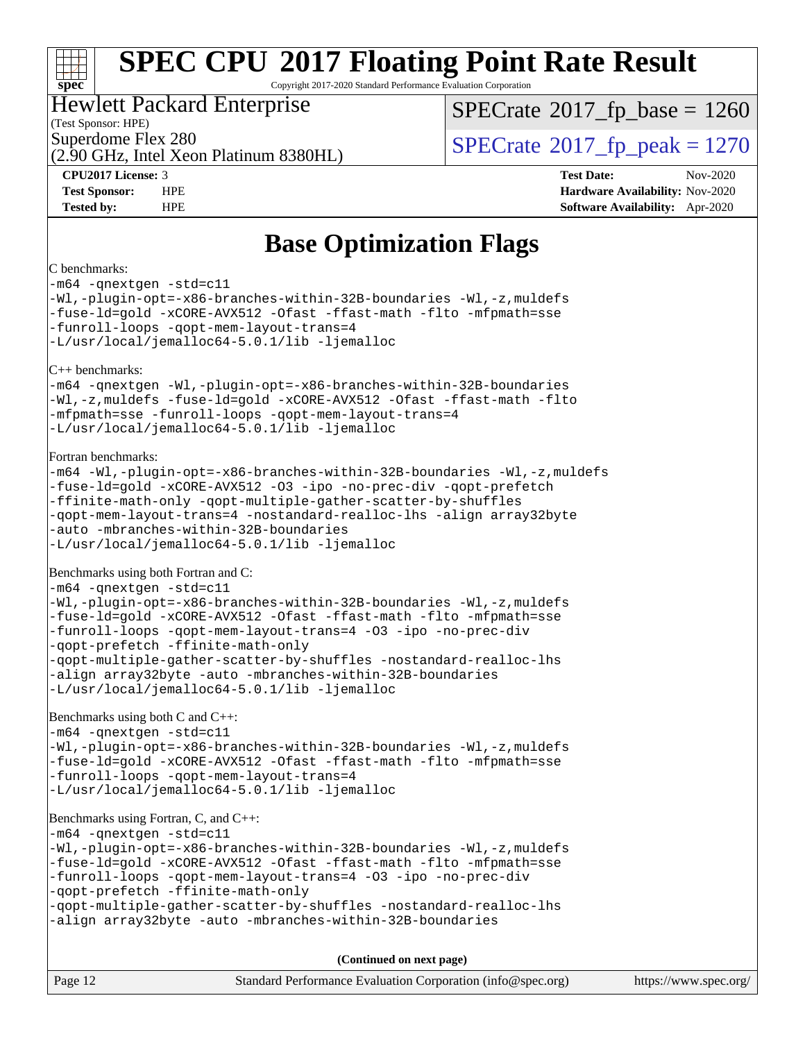### a tim **[spec](http://www.spec.org/)**

## **[SPEC CPU](http://www.spec.org/auto/cpu2017/Docs/result-fields.html#SPECCPU2017FloatingPointRateResult)[2017 Floating Point Rate Result](http://www.spec.org/auto/cpu2017/Docs/result-fields.html#SPECCPU2017FloatingPointRateResult)**

Copyright 2017-2020 Standard Performance Evaluation Corporation

### Hewlett Packard Enterprise

(Test Sponsor: HPE)

(2.90 GHz, Intel Xeon Platinum 8380HL)

[SPECrate](http://www.spec.org/auto/cpu2017/Docs/result-fields.html#SPECrate2017fpbase)<sup>®</sup>2017 fp base = 1260

Superdome Flex 280<br>  $\angle Q$  [SPECrate](http://www.spec.org/auto/cpu2017/Docs/result-fields.html#SPECrate2017fppeak)<sup>®</sup>2017 fp\_peak = 1270

**[CPU2017 License:](http://www.spec.org/auto/cpu2017/Docs/result-fields.html#CPU2017License)** 3 **[Test Date:](http://www.spec.org/auto/cpu2017/Docs/result-fields.html#TestDate)** Nov-2020 **[Test Sponsor:](http://www.spec.org/auto/cpu2017/Docs/result-fields.html#TestSponsor)** HPE **[Hardware Availability:](http://www.spec.org/auto/cpu2017/Docs/result-fields.html#HardwareAvailability)** Nov-2020 **[Tested by:](http://www.spec.org/auto/cpu2017/Docs/result-fields.html#Testedby)** HPE **[Software Availability:](http://www.spec.org/auto/cpu2017/Docs/result-fields.html#SoftwareAvailability)** Apr-2020

### **[Base Optimization Flags](http://www.spec.org/auto/cpu2017/Docs/result-fields.html#BaseOptimizationFlags)**

#### [C benchmarks:](http://www.spec.org/auto/cpu2017/Docs/result-fields.html#Cbenchmarks)

[-m64](http://www.spec.org/cpu2017/results/res2020q4/cpu2017-20201123-24416.flags.html#user_CCbase_m64-icc) [-qnextgen](http://www.spec.org/cpu2017/results/res2020q4/cpu2017-20201123-24416.flags.html#user_CCbase_f-qnextgen) [-std=c11](http://www.spec.org/cpu2017/results/res2020q4/cpu2017-20201123-24416.flags.html#user_CCbase_std-icc-std_0e1c27790398a4642dfca32ffe6c27b5796f9c2d2676156f2e42c9c44eaad0c049b1cdb667a270c34d979996257aeb8fc440bfb01818dbc9357bd9d174cb8524) [-Wl,-plugin-opt=-x86-branches-within-32B-boundaries](http://www.spec.org/cpu2017/results/res2020q4/cpu2017-20201123-24416.flags.html#user_CCbase_f-x86-branches-within-32B-boundaries_0098b4e4317ae60947b7b728078a624952a08ac37a3c797dfb4ffeb399e0c61a9dd0f2f44ce917e9361fb9076ccb15e7824594512dd315205382d84209e912f3) [-Wl,-z,muldefs](http://www.spec.org/cpu2017/results/res2020q4/cpu2017-20201123-24416.flags.html#user_CCbase_link_force_multiple1_b4cbdb97b34bdee9ceefcfe54f4c8ea74255f0b02a4b23e853cdb0e18eb4525ac79b5a88067c842dd0ee6996c24547a27a4b99331201badda8798ef8a743f577) [-fuse-ld=gold](http://www.spec.org/cpu2017/results/res2020q4/cpu2017-20201123-24416.flags.html#user_CCbase_f-fuse-ld_920b3586e2b8c6e0748b9c84fa9b744736ba725a32cab14ad8f3d4ad28eecb2f59d1144823d2e17006539a88734fe1fc08fc3035f7676166309105a78aaabc32) [-xCORE-AVX512](http://www.spec.org/cpu2017/results/res2020q4/cpu2017-20201123-24416.flags.html#user_CCbase_f-xCORE-AVX512) [-Ofast](http://www.spec.org/cpu2017/results/res2020q4/cpu2017-20201123-24416.flags.html#user_CCbase_f-Ofast) [-ffast-math](http://www.spec.org/cpu2017/results/res2020q4/cpu2017-20201123-24416.flags.html#user_CCbase_f-ffast-math) [-flto](http://www.spec.org/cpu2017/results/res2020q4/cpu2017-20201123-24416.flags.html#user_CCbase_f-flto) [-mfpmath=sse](http://www.spec.org/cpu2017/results/res2020q4/cpu2017-20201123-24416.flags.html#user_CCbase_f-mfpmath_70eb8fac26bde974f8ab713bc9086c5621c0b8d2f6c86f38af0bd7062540daf19db5f3a066d8c6684be05d84c9b6322eb3b5be6619d967835195b93d6c02afa1) [-funroll-loops](http://www.spec.org/cpu2017/results/res2020q4/cpu2017-20201123-24416.flags.html#user_CCbase_f-funroll-loops) [-qopt-mem-layout-trans=4](http://www.spec.org/cpu2017/results/res2020q4/cpu2017-20201123-24416.flags.html#user_CCbase_f-qopt-mem-layout-trans_fa39e755916c150a61361b7846f310bcdf6f04e385ef281cadf3647acec3f0ae266d1a1d22d972a7087a248fd4e6ca390a3634700869573d231a252c784941a8) [-L/usr/local/jemalloc64-5.0.1/lib](http://www.spec.org/cpu2017/results/res2020q4/cpu2017-20201123-24416.flags.html#user_CCbase_jemalloc_link_path64_1_cc289568b1a6c0fd3b62c91b824c27fcb5af5e8098e6ad028160d21144ef1b8aef3170d2acf0bee98a8da324cfe4f67d0a3d0c4cc4673d993d694dc2a0df248b) [-ljemalloc](http://www.spec.org/cpu2017/results/res2020q4/cpu2017-20201123-24416.flags.html#user_CCbase_jemalloc_link_lib_d1249b907c500fa1c0672f44f562e3d0f79738ae9e3c4a9c376d49f265a04b9c99b167ecedbf6711b3085be911c67ff61f150a17b3472be731631ba4d0471706) [C++ benchmarks:](http://www.spec.org/auto/cpu2017/Docs/result-fields.html#CXXbenchmarks) [-m64](http://www.spec.org/cpu2017/results/res2020q4/cpu2017-20201123-24416.flags.html#user_CXXbase_m64-icc) [-qnextgen](http://www.spec.org/cpu2017/results/res2020q4/cpu2017-20201123-24416.flags.html#user_CXXbase_f-qnextgen) [-Wl,-plugin-opt=-x86-branches-within-32B-boundaries](http://www.spec.org/cpu2017/results/res2020q4/cpu2017-20201123-24416.flags.html#user_CXXbase_f-x86-branches-within-32B-boundaries_0098b4e4317ae60947b7b728078a624952a08ac37a3c797dfb4ffeb399e0c61a9dd0f2f44ce917e9361fb9076ccb15e7824594512dd315205382d84209e912f3) [-Wl,-z,muldefs](http://www.spec.org/cpu2017/results/res2020q4/cpu2017-20201123-24416.flags.html#user_CXXbase_link_force_multiple1_b4cbdb97b34bdee9ceefcfe54f4c8ea74255f0b02a4b23e853cdb0e18eb4525ac79b5a88067c842dd0ee6996c24547a27a4b99331201badda8798ef8a743f577) [-fuse-ld=gold](http://www.spec.org/cpu2017/results/res2020q4/cpu2017-20201123-24416.flags.html#user_CXXbase_f-fuse-ld_920b3586e2b8c6e0748b9c84fa9b744736ba725a32cab14ad8f3d4ad28eecb2f59d1144823d2e17006539a88734fe1fc08fc3035f7676166309105a78aaabc32) [-xCORE-AVX512](http://www.spec.org/cpu2017/results/res2020q4/cpu2017-20201123-24416.flags.html#user_CXXbase_f-xCORE-AVX512) [-Ofast](http://www.spec.org/cpu2017/results/res2020q4/cpu2017-20201123-24416.flags.html#user_CXXbase_f-Ofast) [-ffast-math](http://www.spec.org/cpu2017/results/res2020q4/cpu2017-20201123-24416.flags.html#user_CXXbase_f-ffast-math) [-flto](http://www.spec.org/cpu2017/results/res2020q4/cpu2017-20201123-24416.flags.html#user_CXXbase_f-flto) [-mfpmath=sse](http://www.spec.org/cpu2017/results/res2020q4/cpu2017-20201123-24416.flags.html#user_CXXbase_f-mfpmath_70eb8fac26bde974f8ab713bc9086c5621c0b8d2f6c86f38af0bd7062540daf19db5f3a066d8c6684be05d84c9b6322eb3b5be6619d967835195b93d6c02afa1) [-funroll-loops](http://www.spec.org/cpu2017/results/res2020q4/cpu2017-20201123-24416.flags.html#user_CXXbase_f-funroll-loops) [-qopt-mem-layout-trans=4](http://www.spec.org/cpu2017/results/res2020q4/cpu2017-20201123-24416.flags.html#user_CXXbase_f-qopt-mem-layout-trans_fa39e755916c150a61361b7846f310bcdf6f04e385ef281cadf3647acec3f0ae266d1a1d22d972a7087a248fd4e6ca390a3634700869573d231a252c784941a8) [-L/usr/local/jemalloc64-5.0.1/lib](http://www.spec.org/cpu2017/results/res2020q4/cpu2017-20201123-24416.flags.html#user_CXXbase_jemalloc_link_path64_1_cc289568b1a6c0fd3b62c91b824c27fcb5af5e8098e6ad028160d21144ef1b8aef3170d2acf0bee98a8da324cfe4f67d0a3d0c4cc4673d993d694dc2a0df248b) [-ljemalloc](http://www.spec.org/cpu2017/results/res2020q4/cpu2017-20201123-24416.flags.html#user_CXXbase_jemalloc_link_lib_d1249b907c500fa1c0672f44f562e3d0f79738ae9e3c4a9c376d49f265a04b9c99b167ecedbf6711b3085be911c67ff61f150a17b3472be731631ba4d0471706) [Fortran benchmarks](http://www.spec.org/auto/cpu2017/Docs/result-fields.html#Fortranbenchmarks): [-m64](http://www.spec.org/cpu2017/results/res2020q4/cpu2017-20201123-24416.flags.html#user_FCbase_m64-icc) [-Wl,-plugin-opt=-x86-branches-within-32B-boundaries](http://www.spec.org/cpu2017/results/res2020q4/cpu2017-20201123-24416.flags.html#user_FCbase_f-x86-branches-within-32B-boundaries_0098b4e4317ae60947b7b728078a624952a08ac37a3c797dfb4ffeb399e0c61a9dd0f2f44ce917e9361fb9076ccb15e7824594512dd315205382d84209e912f3) [-Wl,-z,muldefs](http://www.spec.org/cpu2017/results/res2020q4/cpu2017-20201123-24416.flags.html#user_FCbase_link_force_multiple1_b4cbdb97b34bdee9ceefcfe54f4c8ea74255f0b02a4b23e853cdb0e18eb4525ac79b5a88067c842dd0ee6996c24547a27a4b99331201badda8798ef8a743f577) [-fuse-ld=gold](http://www.spec.org/cpu2017/results/res2020q4/cpu2017-20201123-24416.flags.html#user_FCbase_f-fuse-ld_920b3586e2b8c6e0748b9c84fa9b744736ba725a32cab14ad8f3d4ad28eecb2f59d1144823d2e17006539a88734fe1fc08fc3035f7676166309105a78aaabc32) [-xCORE-AVX512](http://www.spec.org/cpu2017/results/res2020q4/cpu2017-20201123-24416.flags.html#user_FCbase_f-xCORE-AVX512) [-O3](http://www.spec.org/cpu2017/results/res2020q4/cpu2017-20201123-24416.flags.html#user_FCbase_f-O3) [-ipo](http://www.spec.org/cpu2017/results/res2020q4/cpu2017-20201123-24416.flags.html#user_FCbase_f-ipo) [-no-prec-div](http://www.spec.org/cpu2017/results/res2020q4/cpu2017-20201123-24416.flags.html#user_FCbase_f-no-prec-div) [-qopt-prefetch](http://www.spec.org/cpu2017/results/res2020q4/cpu2017-20201123-24416.flags.html#user_FCbase_f-qopt-prefetch) [-ffinite-math-only](http://www.spec.org/cpu2017/results/res2020q4/cpu2017-20201123-24416.flags.html#user_FCbase_f_finite_math_only_cb91587bd2077682c4b38af759c288ed7c732db004271a9512da14a4f8007909a5f1427ecbf1a0fb78ff2a814402c6114ac565ca162485bbcae155b5e4258871) [-qopt-multiple-gather-scatter-by-shuffles](http://www.spec.org/cpu2017/results/res2020q4/cpu2017-20201123-24416.flags.html#user_FCbase_f-qopt-multiple-gather-scatter-by-shuffles) [-qopt-mem-layout-trans=4](http://www.spec.org/cpu2017/results/res2020q4/cpu2017-20201123-24416.flags.html#user_FCbase_f-qopt-mem-layout-trans_fa39e755916c150a61361b7846f310bcdf6f04e385ef281cadf3647acec3f0ae266d1a1d22d972a7087a248fd4e6ca390a3634700869573d231a252c784941a8) [-nostandard-realloc-lhs](http://www.spec.org/cpu2017/results/res2020q4/cpu2017-20201123-24416.flags.html#user_FCbase_f_2003_std_realloc_82b4557e90729c0f113870c07e44d33d6f5a304b4f63d4c15d2d0f1fab99f5daaed73bdb9275d9ae411527f28b936061aa8b9c8f2d63842963b95c9dd6426b8a) [-align array32byte](http://www.spec.org/cpu2017/results/res2020q4/cpu2017-20201123-24416.flags.html#user_FCbase_align_array32byte_b982fe038af199962ba9a80c053b8342c548c85b40b8e86eb3cc33dee0d7986a4af373ac2d51c3f7cf710a18d62fdce2948f201cd044323541f22fc0fffc51b6) [-auto](http://www.spec.org/cpu2017/results/res2020q4/cpu2017-20201123-24416.flags.html#user_FCbase_f-auto) [-mbranches-within-32B-boundaries](http://www.spec.org/cpu2017/results/res2020q4/cpu2017-20201123-24416.flags.html#user_FCbase_f-mbranches-within-32B-boundaries) [-L/usr/local/jemalloc64-5.0.1/lib](http://www.spec.org/cpu2017/results/res2020q4/cpu2017-20201123-24416.flags.html#user_FCbase_jemalloc_link_path64_1_cc289568b1a6c0fd3b62c91b824c27fcb5af5e8098e6ad028160d21144ef1b8aef3170d2acf0bee98a8da324cfe4f67d0a3d0c4cc4673d993d694dc2a0df248b) [-ljemalloc](http://www.spec.org/cpu2017/results/res2020q4/cpu2017-20201123-24416.flags.html#user_FCbase_jemalloc_link_lib_d1249b907c500fa1c0672f44f562e3d0f79738ae9e3c4a9c376d49f265a04b9c99b167ecedbf6711b3085be911c67ff61f150a17b3472be731631ba4d0471706) [Benchmarks using both Fortran and C:](http://www.spec.org/auto/cpu2017/Docs/result-fields.html#BenchmarksusingbothFortranandC) [-m64](http://www.spec.org/cpu2017/results/res2020q4/cpu2017-20201123-24416.flags.html#user_CC_FCbase_m64-icc) [-qnextgen](http://www.spec.org/cpu2017/results/res2020q4/cpu2017-20201123-24416.flags.html#user_CC_FCbase_f-qnextgen) [-std=c11](http://www.spec.org/cpu2017/results/res2020q4/cpu2017-20201123-24416.flags.html#user_CC_FCbase_std-icc-std_0e1c27790398a4642dfca32ffe6c27b5796f9c2d2676156f2e42c9c44eaad0c049b1cdb667a270c34d979996257aeb8fc440bfb01818dbc9357bd9d174cb8524) [-Wl,-plugin-opt=-x86-branches-within-32B-boundaries](http://www.spec.org/cpu2017/results/res2020q4/cpu2017-20201123-24416.flags.html#user_CC_FCbase_f-x86-branches-within-32B-boundaries_0098b4e4317ae60947b7b728078a624952a08ac37a3c797dfb4ffeb399e0c61a9dd0f2f44ce917e9361fb9076ccb15e7824594512dd315205382d84209e912f3) [-Wl,-z,muldefs](http://www.spec.org/cpu2017/results/res2020q4/cpu2017-20201123-24416.flags.html#user_CC_FCbase_link_force_multiple1_b4cbdb97b34bdee9ceefcfe54f4c8ea74255f0b02a4b23e853cdb0e18eb4525ac79b5a88067c842dd0ee6996c24547a27a4b99331201badda8798ef8a743f577) [-fuse-ld=gold](http://www.spec.org/cpu2017/results/res2020q4/cpu2017-20201123-24416.flags.html#user_CC_FCbase_f-fuse-ld_920b3586e2b8c6e0748b9c84fa9b744736ba725a32cab14ad8f3d4ad28eecb2f59d1144823d2e17006539a88734fe1fc08fc3035f7676166309105a78aaabc32) [-xCORE-AVX512](http://www.spec.org/cpu2017/results/res2020q4/cpu2017-20201123-24416.flags.html#user_CC_FCbase_f-xCORE-AVX512) [-Ofast](http://www.spec.org/cpu2017/results/res2020q4/cpu2017-20201123-24416.flags.html#user_CC_FCbase_f-Ofast) [-ffast-math](http://www.spec.org/cpu2017/results/res2020q4/cpu2017-20201123-24416.flags.html#user_CC_FCbase_f-ffast-math) [-flto](http://www.spec.org/cpu2017/results/res2020q4/cpu2017-20201123-24416.flags.html#user_CC_FCbase_f-flto) [-mfpmath=sse](http://www.spec.org/cpu2017/results/res2020q4/cpu2017-20201123-24416.flags.html#user_CC_FCbase_f-mfpmath_70eb8fac26bde974f8ab713bc9086c5621c0b8d2f6c86f38af0bd7062540daf19db5f3a066d8c6684be05d84c9b6322eb3b5be6619d967835195b93d6c02afa1) [-funroll-loops](http://www.spec.org/cpu2017/results/res2020q4/cpu2017-20201123-24416.flags.html#user_CC_FCbase_f-funroll-loops) [-qopt-mem-layout-trans=4](http://www.spec.org/cpu2017/results/res2020q4/cpu2017-20201123-24416.flags.html#user_CC_FCbase_f-qopt-mem-layout-trans_fa39e755916c150a61361b7846f310bcdf6f04e385ef281cadf3647acec3f0ae266d1a1d22d972a7087a248fd4e6ca390a3634700869573d231a252c784941a8) [-O3](http://www.spec.org/cpu2017/results/res2020q4/cpu2017-20201123-24416.flags.html#user_CC_FCbase_f-O3) [-ipo](http://www.spec.org/cpu2017/results/res2020q4/cpu2017-20201123-24416.flags.html#user_CC_FCbase_f-ipo) [-no-prec-div](http://www.spec.org/cpu2017/results/res2020q4/cpu2017-20201123-24416.flags.html#user_CC_FCbase_f-no-prec-div) [-qopt-prefetch](http://www.spec.org/cpu2017/results/res2020q4/cpu2017-20201123-24416.flags.html#user_CC_FCbase_f-qopt-prefetch) [-ffinite-math-only](http://www.spec.org/cpu2017/results/res2020q4/cpu2017-20201123-24416.flags.html#user_CC_FCbase_f_finite_math_only_cb91587bd2077682c4b38af759c288ed7c732db004271a9512da14a4f8007909a5f1427ecbf1a0fb78ff2a814402c6114ac565ca162485bbcae155b5e4258871) [-qopt-multiple-gather-scatter-by-shuffles](http://www.spec.org/cpu2017/results/res2020q4/cpu2017-20201123-24416.flags.html#user_CC_FCbase_f-qopt-multiple-gather-scatter-by-shuffles) [-nostandard-realloc-lhs](http://www.spec.org/cpu2017/results/res2020q4/cpu2017-20201123-24416.flags.html#user_CC_FCbase_f_2003_std_realloc_82b4557e90729c0f113870c07e44d33d6f5a304b4f63d4c15d2d0f1fab99f5daaed73bdb9275d9ae411527f28b936061aa8b9c8f2d63842963b95c9dd6426b8a) [-align array32byte](http://www.spec.org/cpu2017/results/res2020q4/cpu2017-20201123-24416.flags.html#user_CC_FCbase_align_array32byte_b982fe038af199962ba9a80c053b8342c548c85b40b8e86eb3cc33dee0d7986a4af373ac2d51c3f7cf710a18d62fdce2948f201cd044323541f22fc0fffc51b6) [-auto](http://www.spec.org/cpu2017/results/res2020q4/cpu2017-20201123-24416.flags.html#user_CC_FCbase_f-auto) [-mbranches-within-32B-boundaries](http://www.spec.org/cpu2017/results/res2020q4/cpu2017-20201123-24416.flags.html#user_CC_FCbase_f-mbranches-within-32B-boundaries) [-L/usr/local/jemalloc64-5.0.1/lib](http://www.spec.org/cpu2017/results/res2020q4/cpu2017-20201123-24416.flags.html#user_CC_FCbase_jemalloc_link_path64_1_cc289568b1a6c0fd3b62c91b824c27fcb5af5e8098e6ad028160d21144ef1b8aef3170d2acf0bee98a8da324cfe4f67d0a3d0c4cc4673d993d694dc2a0df248b) [-ljemalloc](http://www.spec.org/cpu2017/results/res2020q4/cpu2017-20201123-24416.flags.html#user_CC_FCbase_jemalloc_link_lib_d1249b907c500fa1c0672f44f562e3d0f79738ae9e3c4a9c376d49f265a04b9c99b167ecedbf6711b3085be911c67ff61f150a17b3472be731631ba4d0471706) [Benchmarks using both C and C++](http://www.spec.org/auto/cpu2017/Docs/result-fields.html#BenchmarksusingbothCandCXX): [-m64](http://www.spec.org/cpu2017/results/res2020q4/cpu2017-20201123-24416.flags.html#user_CC_CXXbase_m64-icc) [-qnextgen](http://www.spec.org/cpu2017/results/res2020q4/cpu2017-20201123-24416.flags.html#user_CC_CXXbase_f-qnextgen) [-std=c11](http://www.spec.org/cpu2017/results/res2020q4/cpu2017-20201123-24416.flags.html#user_CC_CXXbase_std-icc-std_0e1c27790398a4642dfca32ffe6c27b5796f9c2d2676156f2e42c9c44eaad0c049b1cdb667a270c34d979996257aeb8fc440bfb01818dbc9357bd9d174cb8524) [-Wl,-plugin-opt=-x86-branches-within-32B-boundaries](http://www.spec.org/cpu2017/results/res2020q4/cpu2017-20201123-24416.flags.html#user_CC_CXXbase_f-x86-branches-within-32B-boundaries_0098b4e4317ae60947b7b728078a624952a08ac37a3c797dfb4ffeb399e0c61a9dd0f2f44ce917e9361fb9076ccb15e7824594512dd315205382d84209e912f3) [-Wl,-z,muldefs](http://www.spec.org/cpu2017/results/res2020q4/cpu2017-20201123-24416.flags.html#user_CC_CXXbase_link_force_multiple1_b4cbdb97b34bdee9ceefcfe54f4c8ea74255f0b02a4b23e853cdb0e18eb4525ac79b5a88067c842dd0ee6996c24547a27a4b99331201badda8798ef8a743f577) [-fuse-ld=gold](http://www.spec.org/cpu2017/results/res2020q4/cpu2017-20201123-24416.flags.html#user_CC_CXXbase_f-fuse-ld_920b3586e2b8c6e0748b9c84fa9b744736ba725a32cab14ad8f3d4ad28eecb2f59d1144823d2e17006539a88734fe1fc08fc3035f7676166309105a78aaabc32) [-xCORE-AVX512](http://www.spec.org/cpu2017/results/res2020q4/cpu2017-20201123-24416.flags.html#user_CC_CXXbase_f-xCORE-AVX512) [-Ofast](http://www.spec.org/cpu2017/results/res2020q4/cpu2017-20201123-24416.flags.html#user_CC_CXXbase_f-Ofast) [-ffast-math](http://www.spec.org/cpu2017/results/res2020q4/cpu2017-20201123-24416.flags.html#user_CC_CXXbase_f-ffast-math) [-flto](http://www.spec.org/cpu2017/results/res2020q4/cpu2017-20201123-24416.flags.html#user_CC_CXXbase_f-flto) [-mfpmath=sse](http://www.spec.org/cpu2017/results/res2020q4/cpu2017-20201123-24416.flags.html#user_CC_CXXbase_f-mfpmath_70eb8fac26bde974f8ab713bc9086c5621c0b8d2f6c86f38af0bd7062540daf19db5f3a066d8c6684be05d84c9b6322eb3b5be6619d967835195b93d6c02afa1) [-funroll-loops](http://www.spec.org/cpu2017/results/res2020q4/cpu2017-20201123-24416.flags.html#user_CC_CXXbase_f-funroll-loops) [-qopt-mem-layout-trans=4](http://www.spec.org/cpu2017/results/res2020q4/cpu2017-20201123-24416.flags.html#user_CC_CXXbase_f-qopt-mem-layout-trans_fa39e755916c150a61361b7846f310bcdf6f04e385ef281cadf3647acec3f0ae266d1a1d22d972a7087a248fd4e6ca390a3634700869573d231a252c784941a8) [-L/usr/local/jemalloc64-5.0.1/lib](http://www.spec.org/cpu2017/results/res2020q4/cpu2017-20201123-24416.flags.html#user_CC_CXXbase_jemalloc_link_path64_1_cc289568b1a6c0fd3b62c91b824c27fcb5af5e8098e6ad028160d21144ef1b8aef3170d2acf0bee98a8da324cfe4f67d0a3d0c4cc4673d993d694dc2a0df248b) [-ljemalloc](http://www.spec.org/cpu2017/results/res2020q4/cpu2017-20201123-24416.flags.html#user_CC_CXXbase_jemalloc_link_lib_d1249b907c500fa1c0672f44f562e3d0f79738ae9e3c4a9c376d49f265a04b9c99b167ecedbf6711b3085be911c67ff61f150a17b3472be731631ba4d0471706) [Benchmarks using Fortran, C, and C++:](http://www.spec.org/auto/cpu2017/Docs/result-fields.html#BenchmarksusingFortranCandCXX) [-m64](http://www.spec.org/cpu2017/results/res2020q4/cpu2017-20201123-24416.flags.html#user_CC_CXX_FCbase_m64-icc) [-qnextgen](http://www.spec.org/cpu2017/results/res2020q4/cpu2017-20201123-24416.flags.html#user_CC_CXX_FCbase_f-qnextgen) [-std=c11](http://www.spec.org/cpu2017/results/res2020q4/cpu2017-20201123-24416.flags.html#user_CC_CXX_FCbase_std-icc-std_0e1c27790398a4642dfca32ffe6c27b5796f9c2d2676156f2e42c9c44eaad0c049b1cdb667a270c34d979996257aeb8fc440bfb01818dbc9357bd9d174cb8524) [-Wl,-plugin-opt=-x86-branches-within-32B-boundaries](http://www.spec.org/cpu2017/results/res2020q4/cpu2017-20201123-24416.flags.html#user_CC_CXX_FCbase_f-x86-branches-within-32B-boundaries_0098b4e4317ae60947b7b728078a624952a08ac37a3c797dfb4ffeb399e0c61a9dd0f2f44ce917e9361fb9076ccb15e7824594512dd315205382d84209e912f3) [-Wl,-z,muldefs](http://www.spec.org/cpu2017/results/res2020q4/cpu2017-20201123-24416.flags.html#user_CC_CXX_FCbase_link_force_multiple1_b4cbdb97b34bdee9ceefcfe54f4c8ea74255f0b02a4b23e853cdb0e18eb4525ac79b5a88067c842dd0ee6996c24547a27a4b99331201badda8798ef8a743f577) [-fuse-ld=gold](http://www.spec.org/cpu2017/results/res2020q4/cpu2017-20201123-24416.flags.html#user_CC_CXX_FCbase_f-fuse-ld_920b3586e2b8c6e0748b9c84fa9b744736ba725a32cab14ad8f3d4ad28eecb2f59d1144823d2e17006539a88734fe1fc08fc3035f7676166309105a78aaabc32) [-xCORE-AVX512](http://www.spec.org/cpu2017/results/res2020q4/cpu2017-20201123-24416.flags.html#user_CC_CXX_FCbase_f-xCORE-AVX512) [-Ofast](http://www.spec.org/cpu2017/results/res2020q4/cpu2017-20201123-24416.flags.html#user_CC_CXX_FCbase_f-Ofast) [-ffast-math](http://www.spec.org/cpu2017/results/res2020q4/cpu2017-20201123-24416.flags.html#user_CC_CXX_FCbase_f-ffast-math) [-flto](http://www.spec.org/cpu2017/results/res2020q4/cpu2017-20201123-24416.flags.html#user_CC_CXX_FCbase_f-flto) [-mfpmath=sse](http://www.spec.org/cpu2017/results/res2020q4/cpu2017-20201123-24416.flags.html#user_CC_CXX_FCbase_f-mfpmath_70eb8fac26bde974f8ab713bc9086c5621c0b8d2f6c86f38af0bd7062540daf19db5f3a066d8c6684be05d84c9b6322eb3b5be6619d967835195b93d6c02afa1) [-funroll-loops](http://www.spec.org/cpu2017/results/res2020q4/cpu2017-20201123-24416.flags.html#user_CC_CXX_FCbase_f-funroll-loops) [-qopt-mem-layout-trans=4](http://www.spec.org/cpu2017/results/res2020q4/cpu2017-20201123-24416.flags.html#user_CC_CXX_FCbase_f-qopt-mem-layout-trans_fa39e755916c150a61361b7846f310bcdf6f04e385ef281cadf3647acec3f0ae266d1a1d22d972a7087a248fd4e6ca390a3634700869573d231a252c784941a8) [-O3](http://www.spec.org/cpu2017/results/res2020q4/cpu2017-20201123-24416.flags.html#user_CC_CXX_FCbase_f-O3) [-ipo](http://www.spec.org/cpu2017/results/res2020q4/cpu2017-20201123-24416.flags.html#user_CC_CXX_FCbase_f-ipo) [-no-prec-div](http://www.spec.org/cpu2017/results/res2020q4/cpu2017-20201123-24416.flags.html#user_CC_CXX_FCbase_f-no-prec-div) [-qopt-prefetch](http://www.spec.org/cpu2017/results/res2020q4/cpu2017-20201123-24416.flags.html#user_CC_CXX_FCbase_f-qopt-prefetch) [-ffinite-math-only](http://www.spec.org/cpu2017/results/res2020q4/cpu2017-20201123-24416.flags.html#user_CC_CXX_FCbase_f_finite_math_only_cb91587bd2077682c4b38af759c288ed7c732db004271a9512da14a4f8007909a5f1427ecbf1a0fb78ff2a814402c6114ac565ca162485bbcae155b5e4258871) [-qopt-multiple-gather-scatter-by-shuffles](http://www.spec.org/cpu2017/results/res2020q4/cpu2017-20201123-24416.flags.html#user_CC_CXX_FCbase_f-qopt-multiple-gather-scatter-by-shuffles) [-nostandard-realloc-lhs](http://www.spec.org/cpu2017/results/res2020q4/cpu2017-20201123-24416.flags.html#user_CC_CXX_FCbase_f_2003_std_realloc_82b4557e90729c0f113870c07e44d33d6f5a304b4f63d4c15d2d0f1fab99f5daaed73bdb9275d9ae411527f28b936061aa8b9c8f2d63842963b95c9dd6426b8a) [-align array32byte](http://www.spec.org/cpu2017/results/res2020q4/cpu2017-20201123-24416.flags.html#user_CC_CXX_FCbase_align_array32byte_b982fe038af199962ba9a80c053b8342c548c85b40b8e86eb3cc33dee0d7986a4af373ac2d51c3f7cf710a18d62fdce2948f201cd044323541f22fc0fffc51b6) [-auto](http://www.spec.org/cpu2017/results/res2020q4/cpu2017-20201123-24416.flags.html#user_CC_CXX_FCbase_f-auto) [-mbranches-within-32B-boundaries](http://www.spec.org/cpu2017/results/res2020q4/cpu2017-20201123-24416.flags.html#user_CC_CXX_FCbase_f-mbranches-within-32B-boundaries)

| Page 12 | Standard Performance Evaluation Corporation (info@spec.org) | https://www.spec.org/ |
|---------|-------------------------------------------------------------|-----------------------|
|---------|-------------------------------------------------------------|-----------------------|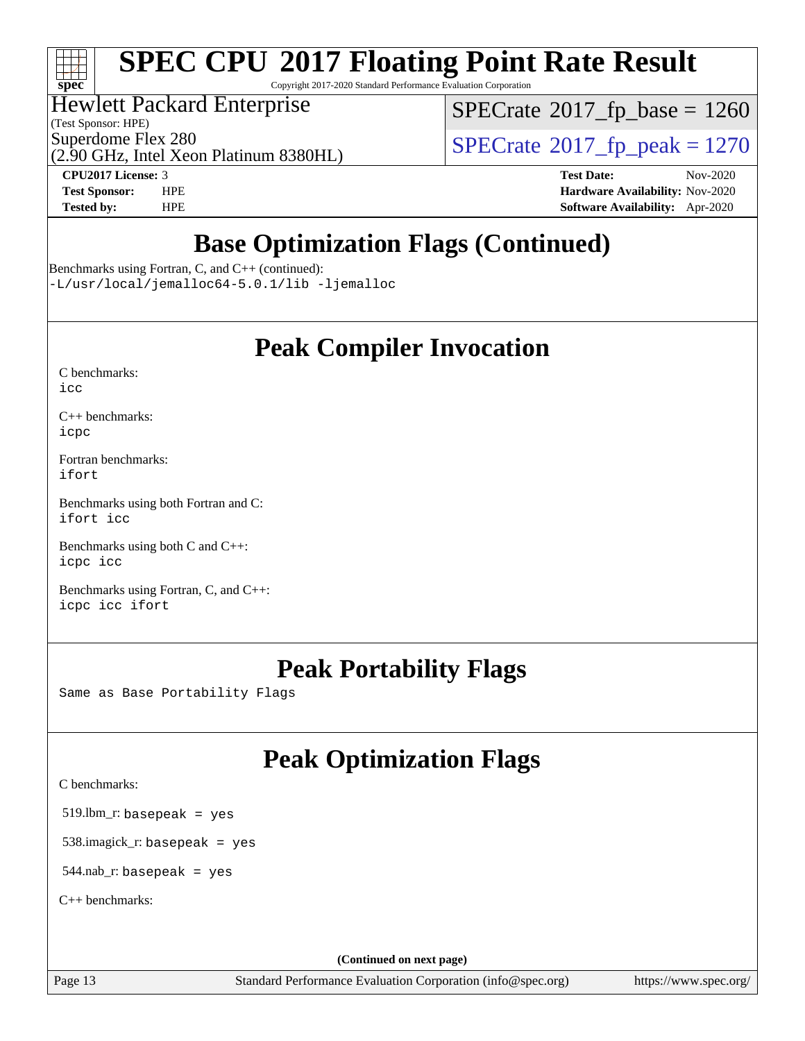

## **[SPEC CPU](http://www.spec.org/auto/cpu2017/Docs/result-fields.html#SPECCPU2017FloatingPointRateResult)[2017 Floating Point Rate Result](http://www.spec.org/auto/cpu2017/Docs/result-fields.html#SPECCPU2017FloatingPointRateResult)**

Copyright 2017-2020 Standard Performance Evaluation Corporation

### Hewlett Packard Enterprise

(Test Sponsor: HPE)

 $SPECTate$ <sup>®</sup>[2017\\_fp\\_base =](http://www.spec.org/auto/cpu2017/Docs/result-fields.html#SPECrate2017fpbase) 1260

(2.90 GHz, Intel Xeon Platinum 8380HL) Superdome Flex 280<br>  $\overline{SPECrate}$  $\overline{SPECrate}$  $\overline{SPECrate}$ <sup>®</sup>[2017\\_fp\\_peak = 1](http://www.spec.org/auto/cpu2017/Docs/result-fields.html#SPECrate2017fppeak)270

**[CPU2017 License:](http://www.spec.org/auto/cpu2017/Docs/result-fields.html#CPU2017License)** 3 **[Test Date:](http://www.spec.org/auto/cpu2017/Docs/result-fields.html#TestDate)** Nov-2020

**[Test Sponsor:](http://www.spec.org/auto/cpu2017/Docs/result-fields.html#TestSponsor)** HPE **[Hardware Availability:](http://www.spec.org/auto/cpu2017/Docs/result-fields.html#HardwareAvailability)** Nov-2020 **[Tested by:](http://www.spec.org/auto/cpu2017/Docs/result-fields.html#Testedby)** HPE **[Software Availability:](http://www.spec.org/auto/cpu2017/Docs/result-fields.html#SoftwareAvailability)** Apr-2020

## **[Base Optimization Flags \(Continued\)](http://www.spec.org/auto/cpu2017/Docs/result-fields.html#BaseOptimizationFlags)**

[Benchmarks using Fortran, C, and C++](http://www.spec.org/auto/cpu2017/Docs/result-fields.html#BenchmarksusingFortranCandCXX) (continued):

[-L/usr/local/jemalloc64-5.0.1/lib](http://www.spec.org/cpu2017/results/res2020q4/cpu2017-20201123-24416.flags.html#user_CC_CXX_FCbase_jemalloc_link_path64_1_cc289568b1a6c0fd3b62c91b824c27fcb5af5e8098e6ad028160d21144ef1b8aef3170d2acf0bee98a8da324cfe4f67d0a3d0c4cc4673d993d694dc2a0df248b) [-ljemalloc](http://www.spec.org/cpu2017/results/res2020q4/cpu2017-20201123-24416.flags.html#user_CC_CXX_FCbase_jemalloc_link_lib_d1249b907c500fa1c0672f44f562e3d0f79738ae9e3c4a9c376d49f265a04b9c99b167ecedbf6711b3085be911c67ff61f150a17b3472be731631ba4d0471706)

### **[Peak Compiler Invocation](http://www.spec.org/auto/cpu2017/Docs/result-fields.html#PeakCompilerInvocation)**

| C benchmarks: |  |
|---------------|--|
| icc           |  |

[C++ benchmarks:](http://www.spec.org/auto/cpu2017/Docs/result-fields.html#CXXbenchmarks) [icpc](http://www.spec.org/cpu2017/results/res2020q4/cpu2017-20201123-24416.flags.html#user_CXXpeak_intel_icpc_c510b6838c7f56d33e37e94d029a35b4a7bccf4766a728ee175e80a419847e808290a9b78be685c44ab727ea267ec2f070ec5dc83b407c0218cded6866a35d07)

[Fortran benchmarks](http://www.spec.org/auto/cpu2017/Docs/result-fields.html#Fortranbenchmarks): [ifort](http://www.spec.org/cpu2017/results/res2020q4/cpu2017-20201123-24416.flags.html#user_FCpeak_intel_ifort_8111460550e3ca792625aed983ce982f94888b8b503583aa7ba2b8303487b4d8a21a13e7191a45c5fd58ff318f48f9492884d4413fa793fd88dd292cad7027ca)

[Benchmarks using both Fortran and C](http://www.spec.org/auto/cpu2017/Docs/result-fields.html#BenchmarksusingbothFortranandC): [ifort](http://www.spec.org/cpu2017/results/res2020q4/cpu2017-20201123-24416.flags.html#user_CC_FCpeak_intel_ifort_8111460550e3ca792625aed983ce982f94888b8b503583aa7ba2b8303487b4d8a21a13e7191a45c5fd58ff318f48f9492884d4413fa793fd88dd292cad7027ca) [icc](http://www.spec.org/cpu2017/results/res2020q4/cpu2017-20201123-24416.flags.html#user_CC_FCpeak_intel_icc_66fc1ee009f7361af1fbd72ca7dcefbb700085f36577c54f309893dd4ec40d12360134090235512931783d35fd58c0460139e722d5067c5574d8eaf2b3e37e92)

[Benchmarks using both C and C++](http://www.spec.org/auto/cpu2017/Docs/result-fields.html#BenchmarksusingbothCandCXX): [icpc](http://www.spec.org/cpu2017/results/res2020q4/cpu2017-20201123-24416.flags.html#user_CC_CXXpeak_intel_icpc_c510b6838c7f56d33e37e94d029a35b4a7bccf4766a728ee175e80a419847e808290a9b78be685c44ab727ea267ec2f070ec5dc83b407c0218cded6866a35d07) [icc](http://www.spec.org/cpu2017/results/res2020q4/cpu2017-20201123-24416.flags.html#user_CC_CXXpeak_intel_icc_66fc1ee009f7361af1fbd72ca7dcefbb700085f36577c54f309893dd4ec40d12360134090235512931783d35fd58c0460139e722d5067c5574d8eaf2b3e37e92)

[Benchmarks using Fortran, C, and C++:](http://www.spec.org/auto/cpu2017/Docs/result-fields.html#BenchmarksusingFortranCandCXX) [icpc](http://www.spec.org/cpu2017/results/res2020q4/cpu2017-20201123-24416.flags.html#user_CC_CXX_FCpeak_intel_icpc_c510b6838c7f56d33e37e94d029a35b4a7bccf4766a728ee175e80a419847e808290a9b78be685c44ab727ea267ec2f070ec5dc83b407c0218cded6866a35d07) [icc](http://www.spec.org/cpu2017/results/res2020q4/cpu2017-20201123-24416.flags.html#user_CC_CXX_FCpeak_intel_icc_66fc1ee009f7361af1fbd72ca7dcefbb700085f36577c54f309893dd4ec40d12360134090235512931783d35fd58c0460139e722d5067c5574d8eaf2b3e37e92) [ifort](http://www.spec.org/cpu2017/results/res2020q4/cpu2017-20201123-24416.flags.html#user_CC_CXX_FCpeak_intel_ifort_8111460550e3ca792625aed983ce982f94888b8b503583aa7ba2b8303487b4d8a21a13e7191a45c5fd58ff318f48f9492884d4413fa793fd88dd292cad7027ca)

### **[Peak Portability Flags](http://www.spec.org/auto/cpu2017/Docs/result-fields.html#PeakPortabilityFlags)**

Same as Base Portability Flags

## **[Peak Optimization Flags](http://www.spec.org/auto/cpu2017/Docs/result-fields.html#PeakOptimizationFlags)**

[C benchmarks](http://www.spec.org/auto/cpu2017/Docs/result-fields.html#Cbenchmarks):

519.lbm\_r: basepeak = yes

538.imagick\_r: basepeak = yes

544.nab\_r: basepeak = yes

[C++ benchmarks:](http://www.spec.org/auto/cpu2017/Docs/result-fields.html#CXXbenchmarks)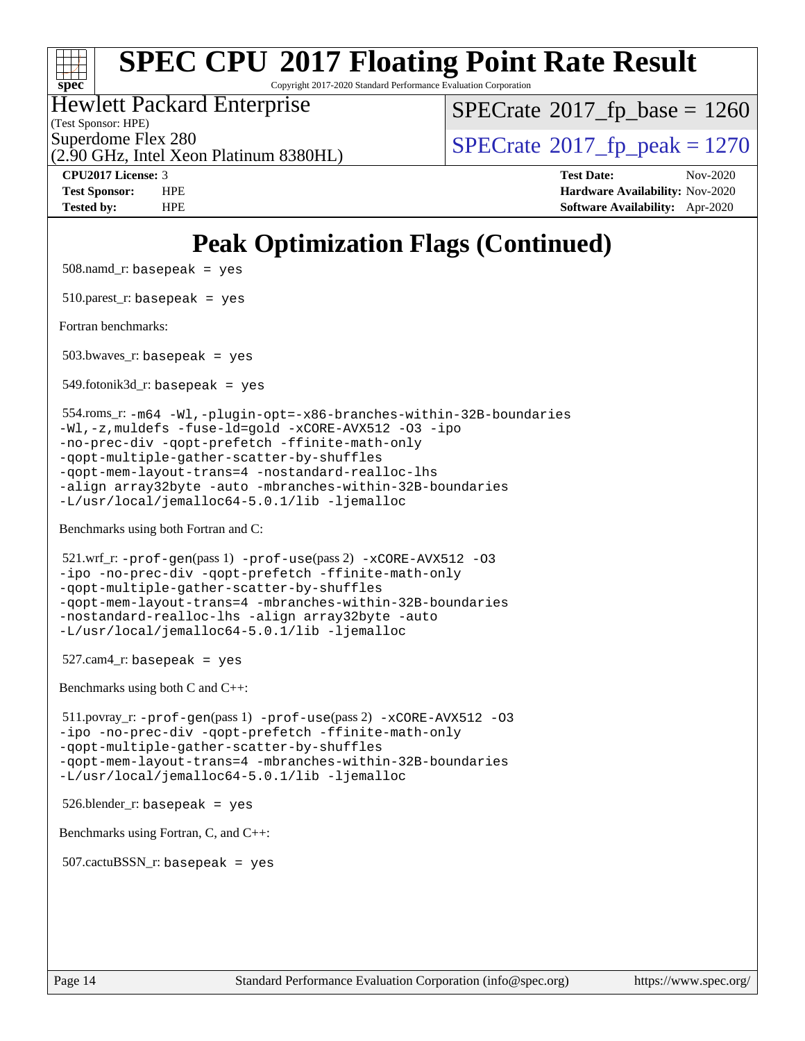

## **[SPEC CPU](http://www.spec.org/auto/cpu2017/Docs/result-fields.html#SPECCPU2017FloatingPointRateResult)[2017 Floating Point Rate Result](http://www.spec.org/auto/cpu2017/Docs/result-fields.html#SPECCPU2017FloatingPointRateResult)**

Copyright 2017-2020 Standard Performance Evaluation Corporation

### Hewlett Packard Enterprise

(Test Sponsor: HPE)

[SPECrate](http://www.spec.org/auto/cpu2017/Docs/result-fields.html#SPECrate2017fpbase)<sup>®</sup>2017 fp base = 1260

(2.90 GHz, Intel Xeon Platinum 8380HL)

Superdome Flex 280<br>  $\angle Q$  [SPECrate](http://www.spec.org/auto/cpu2017/Docs/result-fields.html#SPECrate2017fppeak)<sup>®</sup>2017 fp\_peak = 1270

**[CPU2017 License:](http://www.spec.org/auto/cpu2017/Docs/result-fields.html#CPU2017License)** 3 **[Test Date:](http://www.spec.org/auto/cpu2017/Docs/result-fields.html#TestDate)** Nov-2020 **[Test Sponsor:](http://www.spec.org/auto/cpu2017/Docs/result-fields.html#TestSponsor)** HPE **[Hardware Availability:](http://www.spec.org/auto/cpu2017/Docs/result-fields.html#HardwareAvailability)** Nov-2020 **[Tested by:](http://www.spec.org/auto/cpu2017/Docs/result-fields.html#Testedby)** HPE **[Software Availability:](http://www.spec.org/auto/cpu2017/Docs/result-fields.html#SoftwareAvailability)** Apr-2020

## **[Peak Optimization Flags \(Continued\)](http://www.spec.org/auto/cpu2017/Docs/result-fields.html#PeakOptimizationFlags)**

508.namd\_r: basepeak = yes

 $510.parest_r:$  basepeak = yes

[Fortran benchmarks](http://www.spec.org/auto/cpu2017/Docs/result-fields.html#Fortranbenchmarks):

503.bwaves\_r: basepeak = yes

 $549.$ fotonik $3d$ \_r: basepeak = yes

 554.roms\_r: [-m64](http://www.spec.org/cpu2017/results/res2020q4/cpu2017-20201123-24416.flags.html#user_peakFCLD554_roms_r_m64-icc) [-Wl,-plugin-opt=-x86-branches-within-32B-boundaries](http://www.spec.org/cpu2017/results/res2020q4/cpu2017-20201123-24416.flags.html#user_peakLDFLAGS554_roms_r_f-x86-branches-within-32B-boundaries_0098b4e4317ae60947b7b728078a624952a08ac37a3c797dfb4ffeb399e0c61a9dd0f2f44ce917e9361fb9076ccb15e7824594512dd315205382d84209e912f3) [-Wl,-z,muldefs](http://www.spec.org/cpu2017/results/res2020q4/cpu2017-20201123-24416.flags.html#user_peakEXTRA_LDFLAGS554_roms_r_link_force_multiple1_b4cbdb97b34bdee9ceefcfe54f4c8ea74255f0b02a4b23e853cdb0e18eb4525ac79b5a88067c842dd0ee6996c24547a27a4b99331201badda8798ef8a743f577) [-fuse-ld=gold](http://www.spec.org/cpu2017/results/res2020q4/cpu2017-20201123-24416.flags.html#user_peakEXTRA_LDFLAGS554_roms_r_f-fuse-ld_920b3586e2b8c6e0748b9c84fa9b744736ba725a32cab14ad8f3d4ad28eecb2f59d1144823d2e17006539a88734fe1fc08fc3035f7676166309105a78aaabc32) [-xCORE-AVX512](http://www.spec.org/cpu2017/results/res2020q4/cpu2017-20201123-24416.flags.html#user_peakFOPTIMIZE554_roms_r_f-xCORE-AVX512) [-O3](http://www.spec.org/cpu2017/results/res2020q4/cpu2017-20201123-24416.flags.html#user_peakFOPTIMIZE554_roms_r_f-O3) [-ipo](http://www.spec.org/cpu2017/results/res2020q4/cpu2017-20201123-24416.flags.html#user_peakFOPTIMIZE554_roms_r_f-ipo) [-no-prec-div](http://www.spec.org/cpu2017/results/res2020q4/cpu2017-20201123-24416.flags.html#user_peakFOPTIMIZE554_roms_r_f-no-prec-div) [-qopt-prefetch](http://www.spec.org/cpu2017/results/res2020q4/cpu2017-20201123-24416.flags.html#user_peakFOPTIMIZE554_roms_r_f-qopt-prefetch) [-ffinite-math-only](http://www.spec.org/cpu2017/results/res2020q4/cpu2017-20201123-24416.flags.html#user_peakFOPTIMIZE554_roms_r_f_finite_math_only_cb91587bd2077682c4b38af759c288ed7c732db004271a9512da14a4f8007909a5f1427ecbf1a0fb78ff2a814402c6114ac565ca162485bbcae155b5e4258871) [-qopt-multiple-gather-scatter-by-shuffles](http://www.spec.org/cpu2017/results/res2020q4/cpu2017-20201123-24416.flags.html#user_peakFOPTIMIZE554_roms_r_f-qopt-multiple-gather-scatter-by-shuffles) [-qopt-mem-layout-trans=4](http://www.spec.org/cpu2017/results/res2020q4/cpu2017-20201123-24416.flags.html#user_peakFOPTIMIZE554_roms_r_f-qopt-mem-layout-trans_fa39e755916c150a61361b7846f310bcdf6f04e385ef281cadf3647acec3f0ae266d1a1d22d972a7087a248fd4e6ca390a3634700869573d231a252c784941a8) [-nostandard-realloc-lhs](http://www.spec.org/cpu2017/results/res2020q4/cpu2017-20201123-24416.flags.html#user_peakEXTRA_FOPTIMIZE554_roms_r_f_2003_std_realloc_82b4557e90729c0f113870c07e44d33d6f5a304b4f63d4c15d2d0f1fab99f5daaed73bdb9275d9ae411527f28b936061aa8b9c8f2d63842963b95c9dd6426b8a) [-align array32byte](http://www.spec.org/cpu2017/results/res2020q4/cpu2017-20201123-24416.flags.html#user_peakEXTRA_FOPTIMIZE554_roms_r_align_array32byte_b982fe038af199962ba9a80c053b8342c548c85b40b8e86eb3cc33dee0d7986a4af373ac2d51c3f7cf710a18d62fdce2948f201cd044323541f22fc0fffc51b6) [-auto](http://www.spec.org/cpu2017/results/res2020q4/cpu2017-20201123-24416.flags.html#user_peakEXTRA_FOPTIMIZE554_roms_r_f-auto) [-mbranches-within-32B-boundaries](http://www.spec.org/cpu2017/results/res2020q4/cpu2017-20201123-24416.flags.html#user_peakEXTRA_FOPTIMIZE554_roms_r_f-mbranches-within-32B-boundaries) [-L/usr/local/jemalloc64-5.0.1/lib](http://www.spec.org/cpu2017/results/res2020q4/cpu2017-20201123-24416.flags.html#user_peakEXTRA_LIBS554_roms_r_jemalloc_link_path64_1_cc289568b1a6c0fd3b62c91b824c27fcb5af5e8098e6ad028160d21144ef1b8aef3170d2acf0bee98a8da324cfe4f67d0a3d0c4cc4673d993d694dc2a0df248b) [-ljemalloc](http://www.spec.org/cpu2017/results/res2020q4/cpu2017-20201123-24416.flags.html#user_peakEXTRA_LIBS554_roms_r_jemalloc_link_lib_d1249b907c500fa1c0672f44f562e3d0f79738ae9e3c4a9c376d49f265a04b9c99b167ecedbf6711b3085be911c67ff61f150a17b3472be731631ba4d0471706)

[Benchmarks using both Fortran and C](http://www.spec.org/auto/cpu2017/Docs/result-fields.html#BenchmarksusingbothFortranandC):

 $521.\text{wrf}_r$ :  $-\text{prof}-\text{gen}(pass 1)$   $-\text{prof}-\text{use}(pass 2)$   $-\text{xCORE}-\text{AVX}512$  [-O3](http://www.spec.org/cpu2017/results/res2020q4/cpu2017-20201123-24416.flags.html#user_peakCOPTIMIZEPASS1_COPTIMIZEPASS1_FOPTIMIZEPASS2_COPTIMIZEPASS2_FOPTIMIZE521_wrf_r_f-O3) [-ipo](http://www.spec.org/cpu2017/results/res2020q4/cpu2017-20201123-24416.flags.html#user_peakCOPTIMIZEPASS1_COPTIMIZEPASS1_FOPTIMIZEPASS2_COPTIMIZEPASS2_FOPTIMIZE521_wrf_r_f-ipo) [-no-prec-div](http://www.spec.org/cpu2017/results/res2020q4/cpu2017-20201123-24416.flags.html#user_peakCOPTIMIZEPASS1_COPTIMIZEPASS1_FOPTIMIZEPASS2_COPTIMIZEPASS2_FOPTIMIZE521_wrf_r_f-no-prec-div) [-qopt-prefetch](http://www.spec.org/cpu2017/results/res2020q4/cpu2017-20201123-24416.flags.html#user_peakCOPTIMIZEPASS1_COPTIMIZEPASS1_FOPTIMIZEPASS2_COPTIMIZEPASS2_FOPTIMIZE521_wrf_r_f-qopt-prefetch) [-ffinite-math-only](http://www.spec.org/cpu2017/results/res2020q4/cpu2017-20201123-24416.flags.html#user_peakCOPTIMIZEPASS1_COPTIMIZEPASS1_FOPTIMIZEPASS2_COPTIMIZEPASS2_FOPTIMIZE521_wrf_r_f_finite_math_only_cb91587bd2077682c4b38af759c288ed7c732db004271a9512da14a4f8007909a5f1427ecbf1a0fb78ff2a814402c6114ac565ca162485bbcae155b5e4258871) [-qopt-multiple-gather-scatter-by-shuffles](http://www.spec.org/cpu2017/results/res2020q4/cpu2017-20201123-24416.flags.html#user_peakCOPTIMIZEPASS1_COPTIMIZEPASS1_FOPTIMIZEPASS2_COPTIMIZEPASS2_FOPTIMIZE521_wrf_r_f-qopt-multiple-gather-scatter-by-shuffles) [-qopt-mem-layout-trans=4](http://www.spec.org/cpu2017/results/res2020q4/cpu2017-20201123-24416.flags.html#user_peakCOPTIMIZEFOPTIMIZEPASS1_COPTIMIZEPASS1_FOPTIMIZEPASS2_COPTIMIZEPASS2_FOPTIMIZE521_wrf_r_f-qopt-mem-layout-trans_fa39e755916c150a61361b7846f310bcdf6f04e385ef281cadf3647acec3f0ae266d1a1d22d972a7087a248fd4e6ca390a3634700869573d231a252c784941a8) [-mbranches-within-32B-boundaries](http://www.spec.org/cpu2017/results/res2020q4/cpu2017-20201123-24416.flags.html#user_peakEXTRA_COPTIMIZEEXTRA_FOPTIMIZE521_wrf_r_f-mbranches-within-32B-boundaries) [-nostandard-realloc-lhs](http://www.spec.org/cpu2017/results/res2020q4/cpu2017-20201123-24416.flags.html#user_peakEXTRA_FOPTIMIZE521_wrf_r_f_2003_std_realloc_82b4557e90729c0f113870c07e44d33d6f5a304b4f63d4c15d2d0f1fab99f5daaed73bdb9275d9ae411527f28b936061aa8b9c8f2d63842963b95c9dd6426b8a) [-align array32byte](http://www.spec.org/cpu2017/results/res2020q4/cpu2017-20201123-24416.flags.html#user_peakEXTRA_FOPTIMIZE521_wrf_r_align_array32byte_b982fe038af199962ba9a80c053b8342c548c85b40b8e86eb3cc33dee0d7986a4af373ac2d51c3f7cf710a18d62fdce2948f201cd044323541f22fc0fffc51b6) [-auto](http://www.spec.org/cpu2017/results/res2020q4/cpu2017-20201123-24416.flags.html#user_peakEXTRA_FOPTIMIZE521_wrf_r_f-auto) [-L/usr/local/jemalloc64-5.0.1/lib](http://www.spec.org/cpu2017/results/res2020q4/cpu2017-20201123-24416.flags.html#user_peakEXTRA_LIBS521_wrf_r_jemalloc_link_path64_1_cc289568b1a6c0fd3b62c91b824c27fcb5af5e8098e6ad028160d21144ef1b8aef3170d2acf0bee98a8da324cfe4f67d0a3d0c4cc4673d993d694dc2a0df248b) [-ljemalloc](http://www.spec.org/cpu2017/results/res2020q4/cpu2017-20201123-24416.flags.html#user_peakEXTRA_LIBS521_wrf_r_jemalloc_link_lib_d1249b907c500fa1c0672f44f562e3d0f79738ae9e3c4a9c376d49f265a04b9c99b167ecedbf6711b3085be911c67ff61f150a17b3472be731631ba4d0471706)

```
 527.cam4_r: basepeak = yes
```
[Benchmarks using both C and C++](http://www.spec.org/auto/cpu2017/Docs/result-fields.html#BenchmarksusingbothCandCXX):

 511.povray\_r: [-prof-gen](http://www.spec.org/cpu2017/results/res2020q4/cpu2017-20201123-24416.flags.html#user_peakPASS1_CFLAGSPASS1_CXXFLAGSPASS1_LDFLAGS511_povray_r_prof_gen_5aa4926d6013ddb2a31985c654b3eb18169fc0c6952a63635c234f711e6e63dd76e94ad52365559451ec499a2cdb89e4dc58ba4c67ef54ca681ffbe1461d6b36)(pass 1) [-prof-use](http://www.spec.org/cpu2017/results/res2020q4/cpu2017-20201123-24416.flags.html#user_peakPASS2_CFLAGSPASS2_CXXFLAGSPASS2_LDFLAGS511_povray_r_prof_use_1a21ceae95f36a2b53c25747139a6c16ca95bd9def2a207b4f0849963b97e94f5260e30a0c64f4bb623698870e679ca08317ef8150905d41bd88c6f78df73f19)(pass 2) [-xCORE-AVX512](http://www.spec.org/cpu2017/results/res2020q4/cpu2017-20201123-24416.flags.html#user_peakCOPTIMIZECXXOPTIMIZEPASS2_COPTIMIZEPASS2_CXXOPTIMIZE511_povray_r_f-xCORE-AVX512) [-O3](http://www.spec.org/cpu2017/results/res2020q4/cpu2017-20201123-24416.flags.html#user_peakCOPTIMIZECXXOPTIMIZEPASS1_COPTIMIZEPASS1_CXXOPTIMIZEPASS2_COPTIMIZEPASS2_CXXOPTIMIZE511_povray_r_f-O3) [-ipo](http://www.spec.org/cpu2017/results/res2020q4/cpu2017-20201123-24416.flags.html#user_peakCOPTIMIZECXXOPTIMIZEPASS1_COPTIMIZEPASS1_CXXOPTIMIZEPASS2_COPTIMIZEPASS2_CXXOPTIMIZE511_povray_r_f-ipo) [-no-prec-div](http://www.spec.org/cpu2017/results/res2020q4/cpu2017-20201123-24416.flags.html#user_peakCOPTIMIZECXXOPTIMIZEPASS1_COPTIMIZEPASS1_CXXOPTIMIZEPASS2_COPTIMIZEPASS2_CXXOPTIMIZE511_povray_r_f-no-prec-div) [-qopt-prefetch](http://www.spec.org/cpu2017/results/res2020q4/cpu2017-20201123-24416.flags.html#user_peakCOPTIMIZECXXOPTIMIZEPASS1_COPTIMIZEPASS1_CXXOPTIMIZEPASS2_COPTIMIZEPASS2_CXXOPTIMIZE511_povray_r_f-qopt-prefetch) [-ffinite-math-only](http://www.spec.org/cpu2017/results/res2020q4/cpu2017-20201123-24416.flags.html#user_peakCOPTIMIZECXXOPTIMIZEPASS1_COPTIMIZEPASS1_CXXOPTIMIZEPASS2_COPTIMIZEPASS2_CXXOPTIMIZE511_povray_r_f_finite_math_only_cb91587bd2077682c4b38af759c288ed7c732db004271a9512da14a4f8007909a5f1427ecbf1a0fb78ff2a814402c6114ac565ca162485bbcae155b5e4258871) [-qopt-multiple-gather-scatter-by-shuffles](http://www.spec.org/cpu2017/results/res2020q4/cpu2017-20201123-24416.flags.html#user_peakCOPTIMIZECXXOPTIMIZEPASS1_COPTIMIZEPASS1_CXXOPTIMIZEPASS2_COPTIMIZEPASS2_CXXOPTIMIZE511_povray_r_f-qopt-multiple-gather-scatter-by-shuffles) [-qopt-mem-layout-trans=4](http://www.spec.org/cpu2017/results/res2020q4/cpu2017-20201123-24416.flags.html#user_peakCOPTIMIZECXXOPTIMIZEPASS1_COPTIMIZEPASS1_CXXOPTIMIZEPASS2_COPTIMIZEPASS2_CXXOPTIMIZE511_povray_r_f-qopt-mem-layout-trans_fa39e755916c150a61361b7846f310bcdf6f04e385ef281cadf3647acec3f0ae266d1a1d22d972a7087a248fd4e6ca390a3634700869573d231a252c784941a8) [-mbranches-within-32B-boundaries](http://www.spec.org/cpu2017/results/res2020q4/cpu2017-20201123-24416.flags.html#user_peakEXTRA_COPTIMIZEEXTRA_CXXOPTIMIZE511_povray_r_f-mbranches-within-32B-boundaries) [-L/usr/local/jemalloc64-5.0.1/lib](http://www.spec.org/cpu2017/results/res2020q4/cpu2017-20201123-24416.flags.html#user_peakEXTRA_LIBS511_povray_r_jemalloc_link_path64_1_cc289568b1a6c0fd3b62c91b824c27fcb5af5e8098e6ad028160d21144ef1b8aef3170d2acf0bee98a8da324cfe4f67d0a3d0c4cc4673d993d694dc2a0df248b) [-ljemalloc](http://www.spec.org/cpu2017/results/res2020q4/cpu2017-20201123-24416.flags.html#user_peakEXTRA_LIBS511_povray_r_jemalloc_link_lib_d1249b907c500fa1c0672f44f562e3d0f79738ae9e3c4a9c376d49f265a04b9c99b167ecedbf6711b3085be911c67ff61f150a17b3472be731631ba4d0471706)

526.blender\_r: basepeak = yes

[Benchmarks using Fortran, C, and C++:](http://www.spec.org/auto/cpu2017/Docs/result-fields.html#BenchmarksusingFortranCandCXX)

 $507$ .cactu $BSSN$  r: basepeak = yes